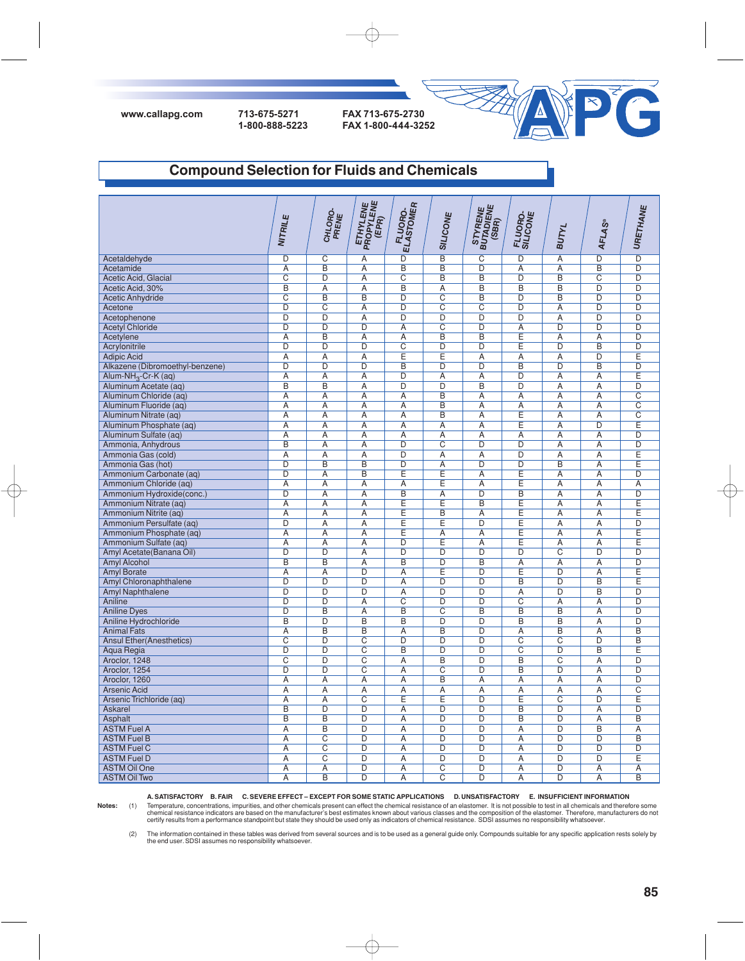



### **Compound Selection for Fluids and Chemicals**

|                                 | <b>NITRILE</b>          | CHLORO-<br>PRENE        | <b>ETHYLENE</b><br>PROPYLENE<br>(EPR) | <b>FLUORO-</b><br>ELASTOMER | SILICONE                | STYRENE<br>BUTADIENE<br>(SBR) | FLUORO-<br>SILICONE   | BUTYL                   | <b>AFLAS®</b>           | URETHANE                |
|---------------------------------|-------------------------|-------------------------|---------------------------------------|-----------------------------|-------------------------|-------------------------------|-----------------------|-------------------------|-------------------------|-------------------------|
| Acetaldehyde                    | $\overline{D}$          | $\overline{\mathrm{C}}$ | $\overline{A}$                        | $\overline{\mathsf{D}}$     | $\overline{\mathsf{B}}$ | $\overline{\text{c}}$         | $\overline{D}$        | $\overline{A}$          | $\overline{D}$          | $\overline{D}$          |
| Acetamide                       | $\overline{A}$          | $\overline{B}$          | $\overline{A}$                        | $\overline{B}$              | $\overline{B}$          | $\overline{\mathsf{D}}$       | $\overline{A}$        | $\overline{A}$          | $\overline{B}$          | $\overline{D}$          |
| Acetic Acid, Glacial            | $\overline{\text{c}}$   | $\overline{D}$          | A                                     | $\overline{\text{c}}$       | $\overline{\mathsf{B}}$ | $\overline{B}$                | $\overline{D}$        | $\overline{B}$          | $\overline{C}$          | $\overline{D}$          |
| Acetic Acid, 30%                | $\overline{B}$          | $\overline{A}$          | $\overline{A}$                        | $\overline{B}$              | $\overline{A}$          | $\overline{B}$                | $\overline{B}$        | $\overline{B}$          | $\overline{\mathsf{D}}$ | $\overline{D}$          |
| <b>Acetic Anhydride</b>         | $\overline{\text{c}}$   | $\overline{B}$          | B                                     | $\overline{\mathsf{D}}$     | $\overline{\text{c}}$   | $\overline{\mathsf{B}}$       | $\overline{D}$        | $\overline{B}$          | $\overline{D}$          | $\overline{D}$          |
| Acetone                         | D                       | $\overline{C}$          | Α                                     | D                           | $\overline{\text{C}}$   | $\overline{\text{C}}$         | $\overline{D}$        | Ā                       | $\overline{D}$          | $\overline{D}$          |
| Acetophenone                    | $\overline{D}$          | $\overline{D}$          | $\overline{A}$                        | $\overline{\mathsf{D}}$     | $\overline{D}$          | $\overline{\mathsf{D}}$       | $\overline{D}$        | $\overline{\mathsf{A}}$ | $\overline{\mathsf{D}}$ | $\overline{D}$          |
| <b>Acetyl Chloride</b>          | D                       | $\overline{D}$          | D                                     | $\overline{A}$              | $\overline{\text{C}}$   | $\overline{D}$                | Α                     | $\overline{D}$          | $\overline{D}$          | $\overline{D}$          |
| Acetylene                       | $\overline{A}$          | B                       | Ā                                     | Ā                           | B                       | B                             | Ε                     | Ā                       | $\overline{A}$          | $\overline{D}$          |
| Acrylonitrile                   | D                       | $\overline{D}$          | $\overline{D}$                        | $\overline{\text{c}}$       | $\overline{D}$          | $\overline{D}$                | Ε                     | $\overline{D}$          | B                       | D                       |
| <b>Adipic Acid</b>              | A                       | Α                       | Α                                     | Ε                           | Ε                       | Α                             | Α                     | Α                       | D                       | Ε                       |
| Alkazene (Dibromoethyl-benzene) | $\overline{D}$          | D                       | $\overline{D}$                        | B                           | $\overline{D}$          | D                             | B                     | $\overline{D}$          | B                       | $\overline{D}$          |
| Alum-NH <sub>3</sub> -Cr-K (aq) | Α                       | Α                       | Α                                     | D                           | Α                       | Α                             | D                     | Α                       | Α                       | E                       |
| Aluminum Acetate (aq)           | $\overline{B}$          | B                       | Ā                                     | $\overline{D}$              | $\overline{D}$          | B                             | D                     | A                       | $\overline{A}$          | $\overline{D}$          |
| Aluminum Chloride (aq)          | Α                       | A                       | Α                                     | Α                           | B                       | A                             | A                     | Α                       | A                       | $\overline{\text{c}}$   |
| Aluminum Fluoride (aq)          | Α                       | Α                       | Α                                     | Α                           | B                       | A                             | A                     | Α                       | Α                       | $\overline{\mathrm{c}}$ |
| Aluminum Nitrate (aq)           | A                       | $\overline{A}$          | A                                     | A                           | $\overline{\mathsf{B}}$ | A                             | Ε                     | $\overline{A}$          | A                       | $\overline{\mathrm{c}}$ |
| Aluminum Phosphate (aq)         | Α                       | A                       | Α                                     | Α                           | A                       | $\overline{A}$                | E                     | $\overline{A}$          | D                       | Ē                       |
| Aluminum Sulfate (aq            | A                       | A                       | A                                     | A                           | $\overline{A}$          | A                             | A                     | A                       | A                       | $\overline{D}$          |
| Ammonia, Anhydrous              | B                       | $\overline{A}$          | A                                     | D                           | $\overline{\text{c}}$   | D                             | D                     | $\overline{A}$          | A                       | D                       |
| Ammonia Gas (cold)              | A                       | A                       | A                                     | $\overline{D}$              | A                       | A                             | $\overline{D}$        | A                       | A                       | Ē                       |
| Ammonia Gas (hot)               | $\overline{D}$          | $\overline{B}$          | $\overline{B}$                        | $\overline{D}$              | $\overline{A}$          | D                             | D                     | $\overline{B}$          | A                       | Ē                       |
| Ammonium Carbonate (aq)         | $\overline{\mathsf{D}}$ | $\overline{A}$          | $\overline{\mathsf{B}}$               | Έ                           | Ē                       | Α                             | E                     | Α                       | A                       | $\overline{D}$          |
| Ammonium Chloride (ag)          | $\overline{A}$          | $\overline{A}$          | $\overline{A}$                        | $\overline{\mathsf{A}}$     | Ē                       | $\overline{A}$                | Ē                     | $\overline{A}$          | $\overline{A}$          | $\overline{A}$          |
| Ammonium Hydroxide(conc.)       | $\overline{\mathsf{D}}$ | $\overline{A}$          | $\overline{A}$                        | $\overline{B}$              | $\overline{A}$          | $\overline{\mathsf{D}}$       | $\overline{B}$        | $\overline{A}$          | $\overline{A}$          | $\overline{D}$          |
| Ammonium Nitrate (aq)           | $\overline{A}$          | $\overline{A}$          | $\overline{A}$                        | Ē                           | Ē                       | $\overline{B}$                | E                     | $\overline{A}$          | $\overline{A}$          | E                       |
| Ammonium Nitrite (ag)           | $\overline{A}$          | $\overline{A}$          | A                                     | Ē                           | $\overline{\mathsf{B}}$ | $\overline{A}$                | Ē                     | $\overline{A}$          | $\overline{A}$          | Ē                       |
| Ammonium Persulfate (aq)        | $\overline{D}$          | $\overline{A}$          | A                                     | E                           | Ē                       | $\overline{D}$                | Ε                     | A                       | $\overline{A}$          | $\overline{D}$          |
| Ammonium Phosphate (ag)         | $\overline{A}$          | $\overline{A}$          | $\overline{A}$                        | Ē                           | $\overline{A}$          | $\overline{A}$                | Έ                     | $\overline{A}$          | $\overline{A}$          | Ē                       |
| Ammonium Sulfate (aq)           | $\overline{A}$          | $\overline{A}$          | Ā                                     | $\overline{D}$              | E                       | $\overline{A}$                | Ε                     | $\overline{A}$          | A                       | E                       |
| Amyl Acetate (Banana Oil)       | $\overline{D}$          | $\overline{D}$          | $\overline{A}$                        | $\overline{D}$              | $\overline{D}$          | $\overline{D}$                | $\overline{D}$        | $\overline{C}$          | $\overline{D}$          | $\overline{D}$          |
| <b>Amyl Alcohol</b>             | B                       | $\overline{B}$          | A                                     | B                           | $\overline{D}$          | B                             | $\overline{A}$        | $\overline{A}$          | A                       | $\overline{D}$          |
| <b>Amyl Borate</b>              | $\overline{A}$          | $\overline{A}$          | D                                     | $\overline{A}$              | E                       | $\overline{D}$                | Ε                     | D                       | $\overline{A}$          | Ε                       |
| Amyl Chloronaphthalene          | $\overline{D}$          | $\overline{D}$          | $\overline{D}$                        | $\overline{A}$              | D                       | $\overline{D}$                | B                     | $\overline{D}$          | $\overline{B}$          | Ē                       |
| <b>Amyl Naphthalene</b>         | $\overline{D}$          | $\overline{D}$          | D                                     | $\overline{A}$              | D                       | D                             | $\overline{A}$        | $\overline{D}$          | B                       | $\overline{D}$          |
| Aniline                         | $\overline{D}$          | $\overline{D}$          | $\overline{A}$                        | $\overline{C}$              | D                       | $\overline{D}$                | $\overline{C}$        | $\overline{A}$          | $\overline{A}$          | $\overline{D}$          |
| <b>Aniline Dyes</b>             | D                       | B                       | $\overline{A}$                        | $\overline{B}$              | $\overline{C}$          | B                             | B                     | $\overline{B}$          | $\overline{A}$          | $\overline{D}$          |
| Aniline Hydrochloride           | $\overline{\mathsf{B}}$ | $\overline{\mathsf{D}}$ | $\overline{\mathsf{B}}$               | $\overline{\mathsf{B}}$     | $\overline{\mathsf{D}}$ | D                             | $\overline{B}$        | $\overline{\mathsf{B}}$ | Α                       | $\overline{\mathsf{D}}$ |
| <b>Animal Fats</b>              | $\overline{A}$          | $\overline{B}$          | B                                     | $\overline{A}$              | $\overline{B}$          | D                             | $\overline{A}$        | $\overline{B}$          | $\overline{A}$          | $\overline{B}$          |
| <b>Ansul Ether(Anesthetics)</b> | $\overline{C}$          | $\overline{D}$          | $\overline{\text{c}}$                 | D                           | D                       | D                             | $\overline{C}$        | $\overline{\text{c}}$   | $\overline{D}$          | $\overline{B}$          |
| Aqua Regia                      | $\overline{D}$          | $\overline{D}$          | $\overline{\text{c}}$                 | $\overline{B}$              | $\overline{D}$          | D                             | $\overline{\text{c}}$ | $\overline{\mathsf{D}}$ | $\overline{B}$          | Ē                       |
| Aroclor, 1248                   | $\overline{C}$          | $\overline{D}$          | $\overline{\text{c}}$                 | Ā                           | B                       | D                             | B                     | $\overline{\text{c}}$   | A                       | $\overline{D}$          |
| Aroclor, 1254                   | $\overline{\mathsf{D}}$ | $\overline{D}$          | $\overline{\text{c}}$                 | $\overline{\mathsf{A}}$     | $\overline{\text{c}}$   | $\overline{\mathsf{D}}$       | $\overline{B}$        | $\overline{\mathsf{D}}$ | Α                       | $\overline{\mathsf{D}}$ |
| Aroclor, 1260                   | Α                       | $\overline{A}$          | Α                                     | Α                           | B                       | Α                             | Α                     | Α                       | A                       | $\overline{D}$          |
| <b>Arsenic Acid</b>             | $\overline{A}$          | $\overline{A}$          | Ā                                     | $\overline{A}$              | Ā                       | $\overline{A}$                | $\overline{A}$        | $\overline{A}$          | $\overline{A}$          | $\overline{\text{c}}$   |
| Arsenic Trichloride (aq)        | A                       | $\overline{A}$          | $\overline{C}$                        | E                           | E                       | $\overline{D}$                | E                     | $\overline{C}$          | $\overline{D}$          | Ē                       |
| <b>Askarel</b>                  | B                       | D                       | D                                     | A                           | D                       | D                             | B                     | D                       | A                       | $\overline{D}$          |
| <b>Asphalt</b>                  | B                       | B                       | D                                     | Ā                           | $\overline{\mathsf{D}}$ | $\overline{D}$                | B                     | $\overline{D}$          | $\overline{A}$          | $\overline{B}$          |
| <b>ASTM Fuel A</b>              | $\overline{A}$          | B                       | D                                     | A                           | D                       | D                             | $\overline{A}$        | D                       | $\overline{B}$          | $\overline{A}$          |
| <b>ASTM Fuel B</b>              | Α                       | $\overline{C}$          | D                                     | Α                           | D                       | $\overline{D}$                | Α                     | D                       | D                       | B                       |
| <b>ASTM Fuel C</b>              | $\overline{A}$          | $\overline{\text{c}}$   | $\overline{D}$                        | $\overline{A}$              | $\overline{D}$          | $\overline{D}$                | $\overline{A}$        | $\overline{D}$          | D                       | $\overline{D}$          |
| <b>ASTM Fuel D</b>              | A                       | $\overline{C}$          | D                                     | A                           | $\overline{D}$          | $\overline{D}$                | A                     | D                       | $\overline{D}$          | E                       |
| <b>ASTM Oil One</b>             | $\overline{A}$          | $\overline{A}$          | $\overline{\mathsf{D}}$               | $\overline{A}$              | $\overline{\text{c}}$   | $\overline{D}$                | $\overline{A}$        | $\overline{D}$          | $\overline{A}$          | $\overline{A}$          |
| <b>ASTM Oil Two</b>             | A                       | $\overline{B}$          | D                                     | A                           | $\overline{C}$          | $\overline{D}$                | A                     | $\overline{D}$          | A                       | $\overline{B}$          |

**A. SATISFACTORY B. FAIR C. SEVERE EFFECT – EXCEPT FOR SOME STATIC APPLICATIONS D. UNSATISFACTORY E. INSUFFICIENT INFORMATION**

 $\oplus$ 

Notes: (1) Temperature, concentrations, impurities, and other chemicals present can effect the chemical resistance of an elastomer. It is not possible to test in all chemicals and therefore some<br>chemical resistance indicat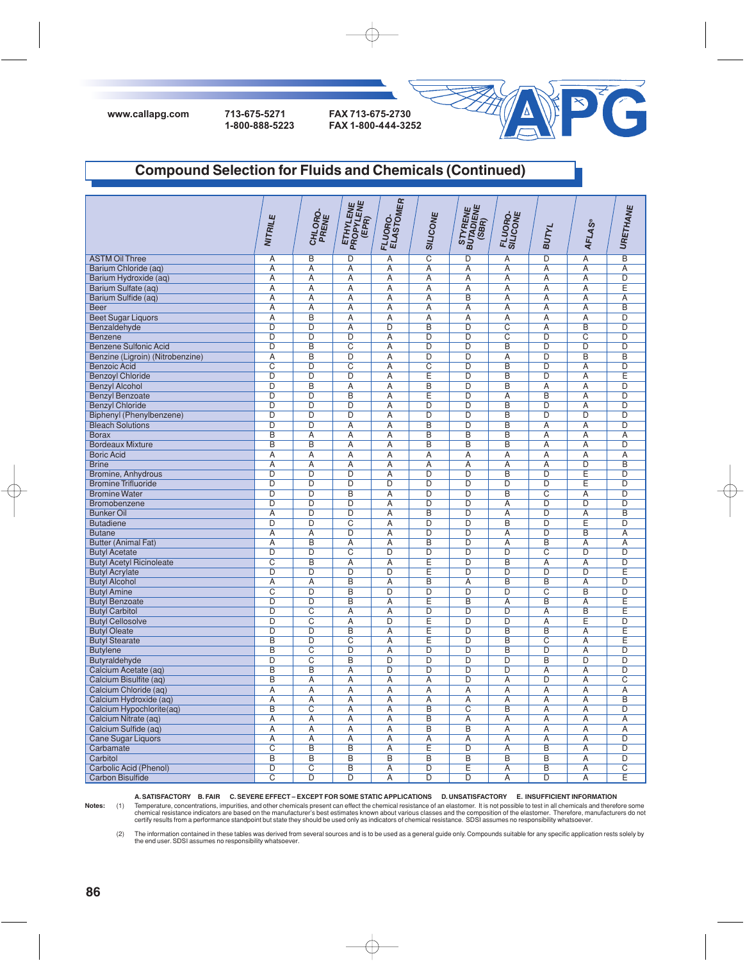

# **Compound Selection for Fluids and Chemicals (Continued)**

|                                  | NITRILE                 | CHLORO-<br>PRENE        | <b>ETHYLENE</b><br>PROPYLENE<br>(EPR) | <b>FLUORO.<br/>ELASTOMER</b> | SILICONE                | STYRENE<br>BUTADIENE<br>(SBR) | FLUORO-<br>SILICONE     | BUTYL                   | <b>AFLAS®</b>         | URETHANE                |
|----------------------------------|-------------------------|-------------------------|---------------------------------------|------------------------------|-------------------------|-------------------------------|-------------------------|-------------------------|-----------------------|-------------------------|
| <b>ASTM Oil Three</b>            | A                       | $\overline{B}$          | $\overline{D}$                        | $\overline{A}$               | $\overline{\mathrm{c}}$ | D                             | $\overline{A}$          | $\overline{\mathsf{D}}$ | $\overline{A}$        | $\overline{B}$          |
| Barium Chloride (aq)             | $\overline{A}$          | $\overline{A}$          | A                                     | $\overline{A}$               | $\overline{A}$          | $\overline{A}$                | $\overline{A}$          | $\overline{A}$          | $\overline{A}$        | $\overline{A}$          |
| Barium Hydroxide (aq)            | $\overline{A}$          | $\overline{A}$          | $\overline{A}$                        | $\overline{A}$               | $\overline{A}$          | $\overline{A}$                | $\overline{A}$          | $\overline{A}$          | $\overline{A}$        | $\overline{D}$          |
| Barium Sulfate (aq)              | $\overline{A}$          | $\overline{A}$          | $\overline{A}$                        | $\overline{A}$               | $\overline{A}$          | $\overline{A}$                | $\overline{A}$          | A                       | $\overline{A}$        | Ē                       |
| Barium Sulfide (ag)              | $\overline{A}$          | $\overline{A}$          | $\overline{A}$                        | $\overline{A}$               | $\overline{A}$          | $\overline{B}$                | $\overline{A}$          | $\overline{A}$          | $\overline{A}$        | $\overline{A}$          |
| <b>Beer</b>                      | $\overline{A}$          | $\overline{A}$          | A                                     | $\overline{A}$               | $\overline{A}$          | $\overline{A}$                | $\overline{A}$          | A                       | $\overline{A}$        | $\overline{B}$          |
| <b>Beet Sugar Liquors</b>        | $\overline{A}$          | $\overline{B}$          | $\overline{A}$                        | $\overline{A}$               | $\overline{A}$          | $\overline{A}$                | $\overline{A}$          | $\overline{A}$          | $\overline{A}$        | $\overline{D}$          |
| Benzaldehyde                     | $\overline{D}$          | $\overline{D}$          | $\overline{A}$                        | $\overline{D}$               | $\overline{B}$          | $\overline{D}$                | $\overline{C}$          | $\overline{A}$          | $\overline{B}$        | $\overline{D}$          |
| Benzene                          | $\overline{D}$          | $\overline{D}$          | $\overline{D}$                        | $\overline{A}$               | $\overline{D}$          | $\overline{\mathsf{D}}$       | $\overline{\text{c}}$   | $\overline{\mathsf{D}}$ | $\overline{\text{c}}$ | $\overline{\mathsf{D}}$ |
| <b>Benzene Sulfonic Acid</b>     | $\overline{D}$          | $\overline{B}$          | $\overline{C}$                        | $\overline{A}$               | D                       | D                             | $\overline{B}$          | $\overline{D}$          | $\overline{D}$        | $\overline{D}$          |
| Benzine (Ligroin) (Nitrobenzine) | $\overline{A}$          | $\overline{B}$          | D                                     | Α                            | $\overline{D}$          | $\overline{D}$                | $\overline{A}$          | D                       | $\overline{B}$        | B                       |
| <b>Benzoic Acid</b>              | $\overline{C}$          | $\overline{D}$          | $\overline{C}$                        | $\overline{A}$               | $\overline{C}$          | $\overline{D}$                | $\overline{B}$          | $\overline{D}$          | $\overline{A}$        | $\overline{D}$          |
| <b>Benzoyl Chloride</b>          | $\overline{D}$          | $\overline{D}$          | $\overline{D}$                        | $\overline{A}$               | Ē                       | $\overline{D}$                | B                       | D                       | $\overline{A}$        | E                       |
| <b>Benzyl Alcohol</b>            | $\overline{D}$          | $\overline{B}$          | $\overline{A}$                        | $\overline{A}$               | $\overline{B}$          | $\overline{D}$                | $\overline{B}$          | $\overline{A}$          | $\overline{A}$        | $\overline{D}$          |
| <b>Benzyl Benzoate</b>           | $\overline{D}$          | $\overline{D}$          | $\overline{B}$                        | $\overline{A}$               | E                       | $\overline{D}$                | $\overline{A}$          | B                       | $\overline{A}$        | $\overline{D}$          |
| <b>Benzyl Chloride</b>           | D                       | D                       | D                                     | $\overline{A}$               | D                       | $\overline{D}$                | $\overline{B}$          | D                       | $\overline{A}$        | $\overline{D}$          |
| Biphenyl (Phenylbenzene)         | $\overline{D}$          | D                       | $\overline{D}$                        | $\overline{A}$               | D                       | $\overline{D}$                | $\overline{B}$          | D                       | D                     | $\overline{D}$          |
| <b>Bleach Solutions</b>          | D                       | $\overline{D}$          | $\overline{A}$                        | $\overline{A}$               | B                       | D                             | $\overline{B}$          | $\overline{A}$          | $\overline{A}$        | D                       |
| <b>Borax</b>                     | B                       | Ā                       | $\overline{A}$                        | $\overline{A}$               | $\overline{B}$          | $\overline{B}$                | $\overline{B}$          | $\overline{A}$          | $\overline{A}$        | $\overline{A}$          |
| <b>Bordeaux Mixture</b>          | B                       | $\overline{B}$          | $\overline{A}$                        | $\overline{A}$               | $\overline{B}$          | $\overline{\mathsf{B}}$       | $\overline{B}$          | $\overline{A}$          | $\overline{A}$        | $\overline{D}$          |
| <b>Boric Acid</b>                | Α                       | Ā                       | Α                                     | Ā                            | Α                       | Α                             | $\overline{A}$          | A                       | A                     | $\overline{A}$          |
| <b>Brine</b>                     | $\overline{A}$          | $\overline{A}$          | $\overline{A}$                        | $\overline{A}$               | $\overline{A}$          | $\overline{A}$                | $\overline{A}$          | $\overline{A}$          | $\overline{D}$        | $\overline{B}$          |
| Bromine, Anhydrous               | $\overline{D}$          | D                       | D                                     | Α                            | $\overline{D}$          | D                             | B                       | D                       | Ε                     | $\overline{D}$          |
| <b>Bromine Trifluoride</b>       | $\overline{D}$          | $\overline{D}$          | $\overline{D}$                        | $\overline{D}$               | $\overline{D}$          | $\overline{D}$                | $\overline{D}$          | $\overline{D}$          | Ε                     | $\overline{D}$          |
| <b>Bromine Water</b>             | $\overline{D}$          | $\overline{D}$          | $\overline{B}$                        | Ā                            | $\overline{D}$          | D                             | B                       | $\overline{C}$          | A                     | $\overline{D}$          |
| Bromobenzene                     | D                       | $\overline{\mathsf{D}}$ | D                                     | A                            | D                       | D                             | $\overline{A}$          | D                       | D                     | D                       |
| <b>Bunker Oil</b>                | $\overline{A}$          | $\overline{D}$          | $\overline{D}$                        | Ā                            | B                       | D                             | $\overline{A}$          | $\overline{D}$          | $\overline{A}$        | $\overline{B}$          |
| <b>Butadiene</b>                 | D                       | D                       | C                                     | A                            | D                       | D                             | B                       | D                       | Ε                     | D                       |
| <b>Butane</b>                    | $\overline{A}$          | Ā                       | $\overline{D}$                        | $\overline{A}$               | $\overline{D}$          | D                             | $\overline{A}$          | D                       | B                     | $\overline{A}$          |
| <b>Butter (Animal Fat)</b>       | A                       | $\overline{B}$          | A                                     | A                            | B                       | D                             | A                       | B                       | A                     | A                       |
| <b>Butyl Acetate</b>             | D                       | D                       | C                                     | D                            | $\overline{D}$          | D                             | D                       | $\overline{C}$          | $\overline{D}$        | $\overline{D}$          |
| <b>Butyl Acetyl Ricinoleate</b>  | $\overline{\mathrm{c}}$ | $\overline{B}$          | A                                     | $\overline{A}$               | E                       | $\overline{D}$                | B                       | A                       | A                     | $\overline{D}$          |
| <b>Butyl Acrylate</b>            | D                       | $\overline{D}$          | $\overline{D}$                        | D                            | E                       | D                             | $\overline{D}$          | $\overline{D}$          | $\overline{D}$        | Ē                       |
| <b>Butyl Alcohol</b>             | $\overline{A}$          | $\overline{A}$          | $\overline{B}$                        | $\overline{A}$               | $\overline{B}$          | $\overline{A}$                | $\overline{B}$          | $\overline{B}$          | $\overline{A}$        | $\overline{D}$          |
| <b>Butyl Amine</b>               | $\overline{C}$          | $\overline{D}$          | B                                     | D                            | $\overline{D}$          | D                             | $\overline{D}$          | $\overline{C}$          | $\overline{B}$        | $\overline{D}$          |
| <b>Butyl Benzoate</b>            | $\overline{\mathsf{D}}$ | $\overline{\mathsf{D}}$ | $\overline{\mathsf{B}}$               | A                            | Έ                       | $\overline{\mathsf{B}}$       | A                       | $\overline{\mathsf{B}}$ | Α                     | Έ                       |
| <b>Butyl Carbitol</b>            | D                       | $\overline{C}$          | A                                     | $\overline{A}$               | $\overline{D}$          | $\overline{D}$                | $\overline{D}$          | $\overline{A}$          | $\overline{B}$        | E                       |
| <b>Butyl Cellosolve</b>          | $\overline{D}$          | $\overline{\mathsf{C}}$ | $\overline{A}$                        | $\overline{D}$               | Έ                       | D                             | $\overline{D}$          | $\overline{A}$          | Ε                     | D                       |
| <b>Butyl Oleate</b>              | $\overline{D}$          | $\overline{D}$          | B                                     | $\overline{A}$               | Ē                       | $\overline{D}$                | $\overline{B}$          | $\overline{B}$          | $\overline{A}$        | Ē                       |
| <b>Butyl Stearate</b>            | $\overline{\mathsf{B}}$ | $\overline{\mathsf{D}}$ | $\overline{C}$                        | Α                            | Έ                       | $\overline{D}$                | $\overline{B}$          | $\overline{\text{c}}$   | Α                     | Έ                       |
| <b>Butylene</b>                  | $\overline{B}$          | $\overline{C}$          | $\overline{D}$                        | $\overline{A}$               | $\overline{D}$          | $\overline{D}$                | $\overline{B}$          | $\overline{D}$          | $\overline{A}$        | $\overline{D}$          |
| Butyraldehyde                    | $\overline{D}$          | $\overline{\mathrm{c}}$ | $\overline{B}$                        | $\overline{D}$               | $\overline{D}$          | $\overline{D}$                | D                       | B                       | D                     | D                       |
| Calcium Acetate (aq)             | B                       | $\overline{B}$          | Α                                     | $\overline{D}$               | $\overline{D}$          | $\overline{D}$                | $\overline{D}$          | A                       | $\overline{A}$        | $\overline{D}$          |
| Calcium Bisulfite (ag)           | $\overline{B}$          | $\overline{A}$          | A                                     | $\overline{A}$               | $\overline{A}$          | $\overline{D}$                | $\overline{A}$          | $\overline{D}$          | $\overline{A}$        | $\overline{\mathrm{c}}$ |
| Calcium Chloride (aq)            | $\overline{A}$          | $\overline{A}$          | $\overline{A}$                        | $\overline{A}$               | $\overline{A}$          | $\overline{A}$                | $\overline{A}$          | $\overline{A}$          | $\overline{A}$        | $\overline{A}$          |
| Calcium Hydroxide (aq)           | $\overline{A}$          | $\overline{A}$          | $\overline{A}$                        | $\overline{A}$               | $\overline{A}$          | $\overline{A}$                | $\overline{A}$          | $\overline{A}$          | $\overline{A}$        | $\overline{B}$          |
| Calcium Hypochlorite(aq)         | $\overline{B}$          | $\overline{C}$          | $\overline{A}$                        | $\overline{A}$               | $\overline{B}$          | $\overline{\mathrm{C}}$       | B                       | $\overline{A}$          | $\overline{A}$        | $\overline{D}$          |
| Calcium Nitrate (aq)             | $\overline{A}$          | $\overline{A}$          | Α                                     | Α                            | B                       | Α                             | $\overline{A}$          | A                       | Α                     | $\overline{A}$          |
| Calcium Sulfide (aq)             | $\overline{A}$          | $\overline{A}$          | $\overline{A}$                        | $\overline{A}$               | $\overline{B}$          | $\overline{B}$                | $\overline{A}$          | $\overline{A}$          | $\overline{A}$        | $\overline{A}$          |
| <b>Cane Sugar Liquors</b>        | $\overline{A}$          | Ā                       | Ā                                     | $\overline{A}$               | $\overline{A}$          | Ā                             | $\overline{A}$          | $\overline{A}$          | $\overline{A}$        | $\overline{D}$          |
| Carbamate                        | $\overline{C}$          | $\overline{B}$          | $\overline{B}$                        | $\overline{A}$               | Ε                       | $\overline{D}$                | $\overline{A}$          | B                       | $\overline{A}$        | $\overline{D}$          |
| Carbitol                         | B                       | $\overline{B}$          | $\overline{B}$                        | $\overline{B}$               | B                       | B                             | B                       | B                       | $\overline{A}$        | $\overline{D}$          |
| Carbolic Acid (Phenol)           | D                       | $\overline{\mathsf{C}}$ | B                                     | A                            | $\overline{\mathsf{D}}$ | Ē                             | A                       | $\overline{B}$          | $\overline{A}$        | $\overline{\mathsf{C}}$ |
| <b>Carbon Bisulfide</b>          | $\overline{C}$          | D                       | D                                     | Ā                            | D                       | D                             | $\overline{\mathsf{A}}$ | $\overline{D}$          | $\overline{A}$        | Ē                       |

**A. SATISFACTORY B. FAIR C. SEVERE EFFECT – EXCEPT FOR SOME STATIC APPLICATIONS D. UNSATISFACTORY E. INSUFFICIENT INFORMATION**

 $\oplus$ 

Notes: (1) Temperature, concentrations, impurities, and other chemicals present can effect the chemical resistance of an elastomer. It is not possible to test in all chemicals and therefore some<br>chemical resistance indicat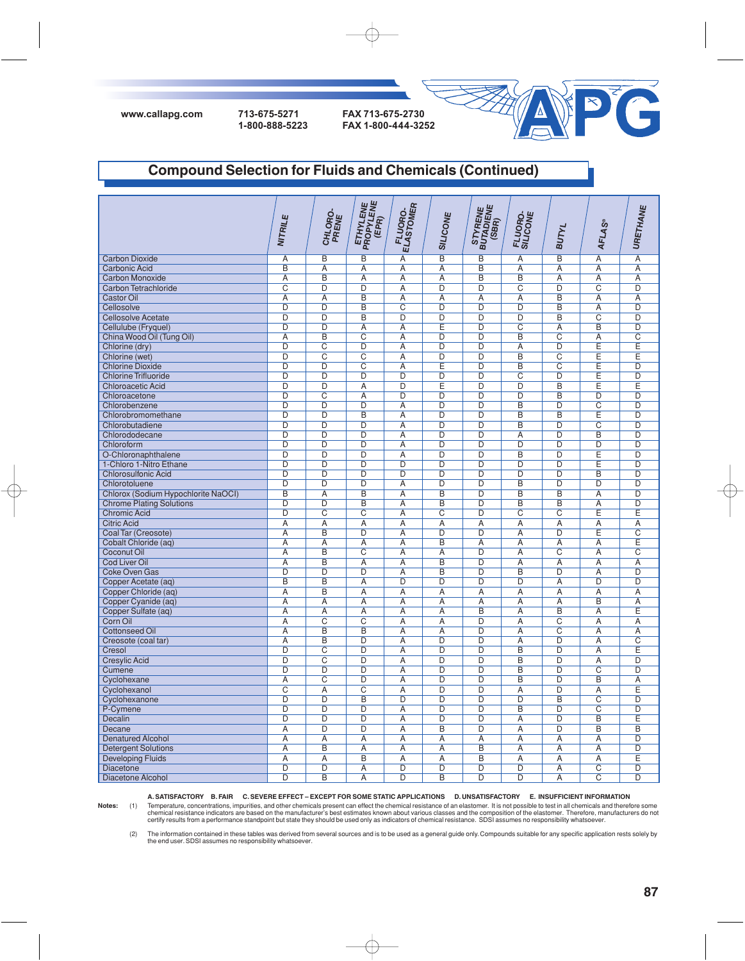



### **Compound Selection for Fluids and Chemicals (Continued)**

|                                     | NITRILE                 | CHLORO-<br>PRENE                 | <b>ETHYLENE</b><br>PROPYLENE<br>(EPR) | <b>ELASTOMER</b><br>FLUORO- | <b>SILICONE</b>                         | STYRENE<br>BUTADIENE<br>(SBR)    | FLUORO-<br>SILICONE              | <b>BUTYL</b>                     | <b>AFLAS®</b>           | URETHANE                |
|-------------------------------------|-------------------------|----------------------------------|---------------------------------------|-----------------------------|-----------------------------------------|----------------------------------|----------------------------------|----------------------------------|-------------------------|-------------------------|
| <b>Carbon Dioxide</b>               | $\overline{A}$          | $\overline{B}$                   | $\overline{B}$                        | $\overline{A}$              | $\overline{B}$                          | B                                | $\overline{A}$                   | $\overline{B}$                   | $\overline{A}$          | $\overline{A}$          |
| <b>Carbonic Acid</b>                | B                       | Α                                | Α                                     | Α                           | A                                       | B                                | Α                                | Α                                | Α                       | Α                       |
| Carbon Monoxide                     | $\overline{A}$          | $\overline{B}$                   | $\overline{A}$                        | $\overline{A}$              | $\overline{A}$                          | $\overline{B}$                   | $\overline{B}$                   | $\overline{A}$                   | $\overline{A}$          | $\overline{A}$          |
| Carbon Tetrachloride                | $\overline{\text{c}}$   | $\overline{\mathsf{D}}$          | $\overline{D}$                        | $\overline{A}$              | $\overline{D}$                          | $\overline{D}$                   | $\overline{C}$                   | $\overline{D}$                   | $\overline{C}$          | $\overline{D}$          |
| <b>Castor Oil</b>                   | $\overline{A}$          | $\overline{A}$                   | $\overline{B}$                        | $\overline{A}$              | $\overline{A}$                          | $\overline{A}$                   | $\overline{A}$                   | $\overline{B}$                   | $\overline{A}$          | $\overline{A}$          |
| Cellosolve                          | $\overline{D}$          | $\overline{D}$                   | $\overline{B}$                        | $\overline{\text{c}}$       | $\overline{D}$                          | $\overline{D}$                   | $\overline{D}$                   | $\overline{B}$                   | $\overline{A}$          | $\overline{D}$          |
| <b>Cellosolve Acetate</b>           | $\overline{D}$          | $\overline{D}$                   | $\overline{B}$                        | $\overline{D}$              | $\overline{D}$                          | D                                | $\overline{D}$                   | $\overline{B}$                   | $\overline{C}$          | $\overline{D}$          |
| Cellulube (Fryquel)                 | $\overline{D}$          | $\overline{D}$                   | $\overline{A}$                        | $\overline{A}$              | E                                       | $\overline{D}$                   | $\overline{C}$                   | $\overline{A}$                   | B                       | $\overline{D}$          |
| China Wood Oil (Tung Oil)           | $\overline{A}$          | $\overline{\mathsf{B}}$          | $\overline{\text{c}}$                 | $\overline{A}$              | $\overline{D}$                          | $\overline{D}$                   | $\overline{B}$                   | $\overline{\mathrm{c}}$          | A                       | $\overline{\text{C}}$   |
| Chlorine (dry)                      | $\overline{D}$          | $\overline{C}$                   | $\overline{D}$                        | $\overline{A}$              | $\overline{D}$                          | $\overline{D}$                   | $\overline{A}$                   | $\overline{D}$                   | Ē                       | Ē                       |
| Chlorine (wet)                      | $\overline{D}$          | $\overline{\text{c}}$            | $\overline{\text{c}}$                 | $\overline{A}$              | $\overline{D}$                          | $\overline{D}$                   | $\overline{B}$                   | $\overline{\mathrm{c}}$          | Ē                       | Ē                       |
| <b>Chlorine Dioxide</b>             | $\overline{D}$          | $\overline{D}$                   | $\overline{C}$                        | $\overline{A}$              | Ē                                       | $\overline{D}$                   | $\overline{B}$                   | $\overline{C}$                   | E                       | $\overline{D}$          |
| <b>Chlorine Trifluoride</b>         | D                       | $\overline{\mathsf{D}}$          | $\overline{\mathsf{D}}$               | $\overline{\mathsf{D}}$     | $\overline{\mathsf{D}}$                 | $\overline{\mathsf{D}}$          | $\overline{\mathrm{c}}$          | $\overline{D}$                   | Ē                       | $\overline{\mathsf{D}}$ |
| <b>Chloroacetic Acid</b>            | $\overline{D}$          | $\overline{D}$                   | A                                     | $\overline{D}$              | E                                       | $\overline{D}$                   | D                                | $\overline{B}$                   | E                       | Ē                       |
| Chloroacetone                       | $\overline{\mathsf{D}}$ | $\overline{\text{c}}$            | $\overline{A}$                        | $\overline{\mathsf{D}}$     | $\overline{\mathsf{D}}$                 | $\overline{\mathsf{D}}$          | $\overline{\mathsf{D}}$          | $\overline{\mathsf{B}}$          | $\overline{D}$          | $\overline{\mathsf{D}}$ |
| Chlorobenzene                       | $\overline{D}$          | $\overline{D}$                   | $\overline{D}$                        | $\overline{A}$              | $\overline{\mathsf{D}}$                 | $\overline{D}$                   | $\overline{B}$                   | $\overline{D}$                   | $\overline{C}$          | $\overline{D}$          |
| Chlorobromomethane                  | D                       | D                                | B                                     | $\overline{A}$              | $\overline{D}$                          | $\overline{D}$                   | B                                | $\overline{B}$                   | E                       | $\overline{D}$          |
| Chlorobutadiene                     | $\overline{D}$          | $\overline{D}$                   | $\overline{D}$                        | $\overline{A}$              | $\overline{D}$                          | $\overline{D}$                   | $\overline{B}$                   | $\overline{D}$                   | $\overline{\mathrm{c}}$ | $\overline{D}$          |
| Chlorododecane                      | D                       | D                                | D                                     | $\overline{A}$              | $\overline{D}$                          | $\overline{D}$                   | $\overline{A}$                   | $\overline{D}$                   | B                       | $\overline{D}$          |
| Chloroform                          | $\overline{D}$          | $\overline{D}$                   | $\overline{D}$                        | $\overline{A}$              | $\overline{\mathsf{D}}$                 | $\overline{D}$                   | $\overline{D}$                   | $\overline{D}$                   | $\overline{D}$          | $\overline{D}$          |
| O-Chloronaphthalene                 | D                       | D                                | D                                     | $\overline{A}$              | $\overline{D}$                          | $\overline{D}$                   | B                                | $\overline{D}$                   | E                       | D                       |
| 1-Chloro 1-Nitro Ethane             | D                       | D                                | D                                     | $\overline{D}$              | D                                       | D                                | D                                | D                                | E                       | D                       |
| <b>Chlorosulfonic Acid</b>          | D                       | D                                | D                                     | D                           | $\overline{D}$                          | $\overline{D}$                   | $\overline{D}$                   | $\overline{D}$                   | B                       | $\overline{D}$          |
| Chlorotoluene                       | $\overline{\mathsf{D}}$ | $\overline{D}$                   | $\overline{D}$                        | $\overline{A}$              | $\overline{D}$                          | $\overline{D}$                   | $\overline{B}$                   | $\overline{D}$                   | $\overline{D}$          | $\overline{D}$          |
|                                     | $\overline{B}$          | $\overline{\mathsf{A}}$          | $\overline{B}$                        | $\overline{A}$              | $\overline{B}$                          | $\overline{\mathsf{D}}$          | $\overline{B}$                   | $\overline{B}$                   | A                       | $\overline{\mathsf{D}}$ |
| Chlorox (Sodium Hypochlorite NaOCI) | $\overline{\mathsf{D}}$ | $\overline{\mathsf{D}}$          | $\overline{\mathsf{B}}$               | $\overline{A}$              | $\overline{\mathsf{B}}$                 | $\overline{D}$                   | $\overline{B}$                   | $\overline{B}$                   | $\overline{A}$          | $\overline{D}$          |
| <b>Chrome Plating Solutions</b>     | D                       |                                  |                                       |                             |                                         | $\overline{D}$                   |                                  | $\overline{\text{C}}$            |                         | Ē                       |
| <b>Chromic Acid</b>                 | $\overline{A}$          | $\overline{C}$<br>$\overline{A}$ | $\overline{C}$                        | Α<br>$\overline{A}$         | $\overline{\text{C}}$<br>$\overline{A}$ | $\overline{A}$                   | $\overline{C}$<br>$\overline{A}$ | $\overline{A}$                   | E                       | $\overline{A}$          |
| <b>Citric Acid</b>                  |                         |                                  | $\overline{A}$                        |                             |                                         |                                  |                                  |                                  | $\overline{A}$          |                         |
| Coal Tar (Creosote)                 | Ā                       | B                                | D                                     | $\overline{A}$              | $\overline{D}$                          | $\overline{D}$                   | $\overline{A}$                   | $\overline{D}$                   | E                       | $\overline{C}$<br>E     |
| Cobalt Chloride (aq)                | A                       | $\overline{A}$                   | $\overline{A}$                        | A                           | B                                       | A                                | A                                | A                                | A                       | $\overline{C}$          |
| <b>Coconut Oil</b>                  | $\overline{A}$<br>A     | B<br>B                           | $\overline{C}$                        | $\overline{A}$              | $\overline{A}$<br>B                     | D<br>D                           | $\overline{A}$<br>A              | $\overline{C}$                   | $\overline{A}$<br>A     | A                       |
| <b>Cod Liver Oil</b>                |                         | $\overline{D}$                   | A<br>$\overline{D}$                   | A                           | B                                       | $\overline{D}$                   | $\overline{B}$                   | A<br>$\overline{D}$              |                         | $\overline{D}$          |
| <b>Coke Oven Gas</b>                | D<br>B                  | B                                | A                                     | $\overline{A}$<br>D         | D                                       | $\overline{D}$                   | D                                | $\overline{A}$                   | $\overline{A}$<br>D     | $\overline{D}$          |
| Copper Acetate (aq)                 |                         |                                  |                                       |                             |                                         |                                  |                                  |                                  |                         |                         |
| Copper Chloride (aq)                | Α<br>$\overline{A}$     | B<br>$\overline{A}$              | A<br>A                                | Α<br>$\overline{A}$         | A<br>$\overline{A}$                     | Α<br>A                           | A<br>A                           | Α<br>$\overline{A}$              | A<br>$\overline{B}$     | Α<br>$\overline{A}$     |
| Copper Cyanide (aq)                 | $\overline{A}$          | $\overline{A}$                   | A                                     | $\overline{A}$              | $\overline{A}$                          | $\overline{B}$                   | $\overline{A}$                   | $\overline{B}$                   | A                       | E                       |
| Copper Sulfate (aq)<br>Corn Oil     | $\overline{A}$          | $\overline{\text{c}}$            | $\overline{\text{c}}$                 | $\overline{A}$              | $\overline{A}$                          | $\overline{D}$                   | $\overline{A}$                   | $\overline{\mathsf{c}}$          | $\overline{A}$          | $\overline{A}$          |
|                                     | $\overline{A}$          | $\overline{B}$                   | B                                     | $\overline{A}$              | $\overline{A}$                          | $\overline{D}$                   |                                  | $\overline{\mathrm{c}}$          |                         | $\overline{A}$          |
| <b>Cottonseed Oil</b>               | A                       | $\overline{B}$                   | D                                     | $\overline{A}$              | $\overline{D}$                          | $\overline{D}$                   | A<br>A                           | $\overline{D}$                   | A<br>A                  | $\overline{C}$          |
| Creosote (coal tar)                 | $\overline{D}$          | $\overline{C}$                   | D                                     | $\overline{A}$              | $\overline{D}$                          | $\overline{D}$                   | $\overline{B}$                   | $\overline{D}$                   | $\overline{A}$          | Ē                       |
| Cresol                              | D                       | $\overline{\text{c}}$            | D                                     | $\overline{A}$              | $\overline{D}$                          | $\overline{D}$                   | $\overline{\mathsf{B}}$          | $\overline{D}$                   | A                       | $\overline{\mathsf{D}}$ |
| <b>Cresylic Acid</b>                | $\overline{D}$          | $\overline{D}$                   | $\overline{\mathsf{D}}$               | $\overline{A}$              | $\overline{\mathsf{D}}$                 | $\overline{\mathsf{D}}$          | $\overline{B}$                   | $\overline{D}$                   | $\overline{\mathrm{c}}$ | $\overline{D}$          |
| Cumene                              |                         | $\overline{\text{c}}$            | $\overline{D}$                        | $\overline{A}$              | $\overline{D}$                          | $\overline{D}$                   | B                                | $\overline{D}$                   | B                       | $\overline{A}$          |
| Cyclohexane                         | A                       |                                  |                                       |                             |                                         |                                  |                                  |                                  |                         |                         |
| Cyclohexanol                        | $\overline{\text{c}}$   | $\overline{A}$                   | $\overline{\text{c}}$                 | $\overline{A}$              | $\overline{D}$                          | $\overline{D}$<br>$\overline{D}$ | $\overline{A}$<br>$\overline{D}$ | $\overline{D}$<br>$\overline{B}$ | $\overline{A}$          | Ē<br>$\overline{D}$     |
| Cyclohexanone                       | $\overline{D}$          | $\overline{\mathsf{D}}$          | $\overline{B}$                        | $\overline{\mathsf{D}}$     | $\overline{D}$                          |                                  |                                  |                                  | $\overline{\mathrm{c}}$ |                         |
| P-Cymene                            | $\overline{\mathsf{D}}$ | $\overline{D}$                   | $\overline{D}$                        | $\overline{A}$              | $\overline{D}$                          | $\overline{D}$                   | $\overline{B}$                   | $\overline{D}$                   | $\overline{\text{c}}$   | $\overline{D}$          |
| Decalin                             | $\overline{\mathsf{D}}$ | $\overline{D}$                   | $\overline{\mathsf{D}}$               | $\overline{A}$              | $\overline{\mathsf{D}}$                 | $\overline{\mathsf{D}}$          | Α                                | $\overline{D}$                   | $\overline{B}$          | Ē                       |
| Decane                              | $\overline{A}$          | $\overline{D}$                   | $\overline{D}$                        | $\overline{A}$              | B                                       | $\overline{D}$                   | $\overline{A}$                   | $\overline{D}$                   | $\overline{B}$          | B                       |
| <b>Denatured Alcohol</b>            | Ā                       | Ā                                | $\overline{A}$                        | $\overline{A}$              | $\overline{A}$                          | $\overline{A}$                   | $\overline{A}$                   | A                                | $\overline{A}$          | D<br>$\overline{D}$     |
| <b>Detergent Solutions</b>          | $\overline{A}$          | $\overline{B}$                   | $\overline{A}$                        | $\overline{A}$              | $\overline{A}$                          | B                                | $\overline{A}$                   | $\overline{A}$                   | $\overline{A}$          |                         |
| <b>Developing Fluids</b>            | $\overline{A}$          | $\overline{A}$                   | B                                     | $\overline{A}$              | $\overline{A}$                          | B                                | $\overline{A}$                   | $\overline{A}$                   | $\overline{A}$          | E                       |
| Diacetone                           | D                       | $\overline{D}$                   | A                                     | $\overline{\mathsf{D}}$     | $\overline{\mathsf{D}}$                 | D                                | $\overline{D}$                   | Α                                | $\overline{\text{c}}$   | $\overline{\mathsf{D}}$ |
| Diacetone Alcohol                   | D                       | B                                | $\overline{A}$                        | D                           | B                                       | D                                | D                                | $\overline{A}$                   | $\overline{C}$          | $\overline{D}$          |

**A. SATISFACTORY B. FAIR C. SEVERE EFFECT – EXCEPT FOR SOME STATIC APPLICATIONS D. UNSATISFACTORY E. INSUFFICIENT INFORMATION**

 $\oplus$ 

Notes: (1) Temperature, concentrations, impurities, and other chemicals present can effect the chemical resistance of an elastomer. It is not possible to test in all chemicals and therefore some<br>chemical resistance indicat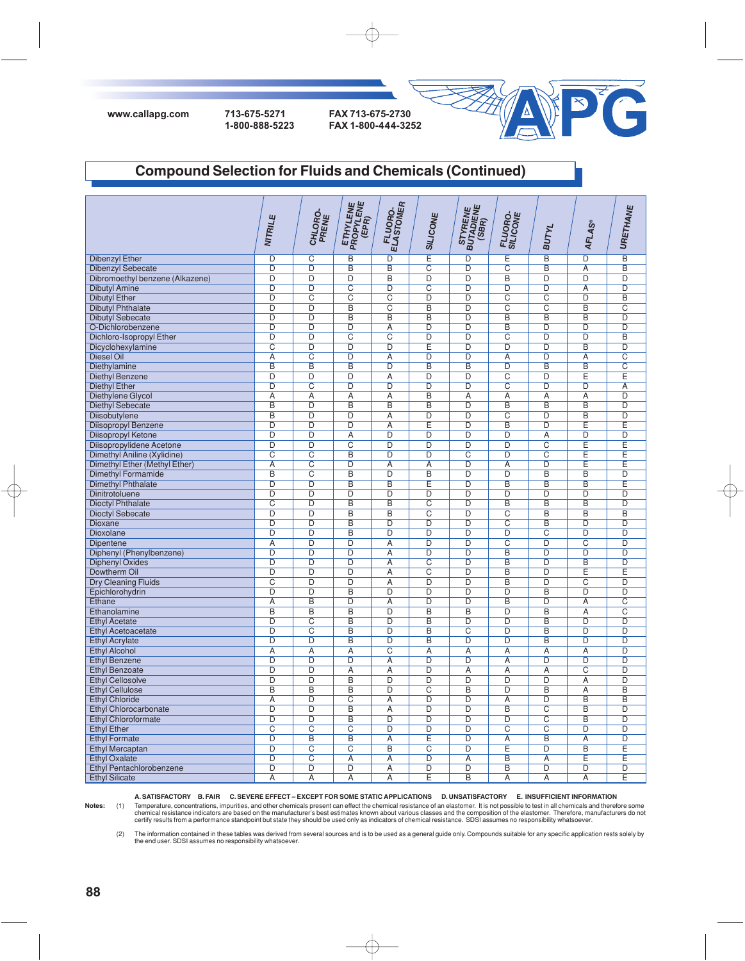

#### **Compound Selection for Fluids and Chemicals (Continued)**

|                                 | NITRILE                 | CHLORO-<br>PRENE        | ETHYLENE<br>PROPYLENE<br>(EPR) | FLUORO.<br>ELASTOMER    | <b>SILICONE</b>         | STYRENE<br>BUTADIENE<br>(SBR) | FLUORO-<br>SILICONE     | <b>BUTYL</b>            | <b>AFLAS®</b>           | URETHANE                |
|---------------------------------|-------------------------|-------------------------|--------------------------------|-------------------------|-------------------------|-------------------------------|-------------------------|-------------------------|-------------------------|-------------------------|
| <b>Dibenzyl Ether</b>           | D                       | $\overline{\text{C}}$   | B                              | $\overline{D}$          | Ē                       | $\overline{D}$                | Ε                       | B                       | $\overline{D}$          | $\overline{B}$          |
| <b>Dibenzyl Sebecate</b>        | D                       | $\overline{D}$          | B                              | $\overline{B}$          | $\overline{C}$          | D                             | $\overline{C}$          | B                       | $\overline{A}$          | $\overline{B}$          |
| Dibromoethyl benzene (Alkazene) | $\overline{D}$          | $\overline{D}$          | $\overline{D}$                 | $\overline{B}$          | $\overline{D}$          | $\overline{D}$                | B                       | D                       | $\overline{D}$          | $\overline{D}$          |
| <b>Dibutyl Amine</b>            | D                       | $\overline{D}$          | $\overline{C}$                 | $\overline{D}$          | $\overline{C}$          | $\overline{D}$                | $\overline{D}$          | D                       | $\overline{A}$          | $\overline{D}$          |
| <b>Dibutyl Ether</b>            | D                       | $\overline{\text{C}}$   | $\overline{\mathsf{C}}$        | $\overline{\mathrm{c}}$ | $\overline{D}$          | D                             | $\overline{C}$          | $\overline{\text{c}}$   | D                       | $\overline{B}$          |
| <b>Dibutyl Phthalate</b>        | $\overline{D}$          | $\overline{D}$          | B                              | $\overline{\mathsf{C}}$ | $\overline{B}$          | $\overline{D}$                | $\overline{C}$          | $\overline{\text{c}}$   | $\overline{B}$          | $\overline{\text{C}}$   |
| <b>Dibutyl Sebecate</b>         | D                       | $\overline{D}$          | B                              | $\overline{B}$          | $\overline{B}$          | D                             | B                       | B                       | B                       | $\overline{D}$          |
| O-Dichlorobenzene               | $\overline{D}$          | $\overline{D}$          | $\overline{D}$                 | $\overline{A}$          | $\overline{D}$          | $\overline{D}$                | $\overline{B}$          | $\overline{D}$          | $\overline{D}$          | $\overline{D}$          |
|                                 | $\overline{D}$          | D                       | $\overline{C}$                 | $\overline{C}$          | D                       | D                             | $\overline{C}$          | $\overline{D}$          | $\overline{D}$          | $\overline{B}$          |
| Dichloro-Isopropyl Ether        |                         | $\overline{D}$          |                                | $\overline{D}$          | Έ                       | $\overline{D}$                | $\overline{D}$          | $\overline{\mathsf{D}}$ | $\overline{B}$          | $\overline{D}$          |
| Dicyclohexylamine               | $\overline{\text{c}}$   |                         | $\overline{D}$                 |                         |                         |                               |                         |                         |                         | $\overline{C}$          |
| <b>Diesel Oil</b>               | $\overline{A}$          | $\overline{C}$          | $\overline{D}$                 | $\overline{A}$          | D                       | $\overline{D}$                | $\overline{A}$          | $\overline{D}$          | $\overline{A}$          |                         |
| Diethylamine                    | $\overline{\mathsf{B}}$ | $\overline{\mathsf{B}}$ | $\overline{B}$                 | $\overline{D}$          | $\overline{\mathsf{B}}$ | $\overline{\mathsf{B}}$       | $\overline{D}$          | $\overline{\mathsf{B}}$ | $\overline{\mathsf{B}}$ | $\overline{\text{c}}$   |
| <b>Diethyl Benzene</b>          | $\overline{D}$          | D                       | $\overline{D}$                 | $\overline{A}$          | $\overline{D}$          | D                             | $\overline{C}$          | $\overline{D}$          | Ē                       | Ē                       |
| <b>Diethyl Ether</b>            | $\overline{\mathsf{D}}$ | $\overline{\mathsf{c}}$ | $\overline{\mathsf{D}}$        | $\overline{\mathsf{D}}$ | $\overline{D}$          | $\overline{D}$                | $\overline{\mathsf{c}}$ | $\overline{\mathsf{D}}$ | $\overline{\mathsf{D}}$ | $\overline{A}$          |
| Diethylene Glycol               | A                       | $\overline{A}$          | A                              | $\overline{A}$          | $\overline{B}$          | A                             | A                       | A                       | A                       | $\overline{D}$          |
| <b>Diethyl Sebecate</b>         | $\overline{\mathsf{B}}$ | $\overline{\mathsf{D}}$ | $\overline{B}$                 | $\overline{B}$          | $\overline{\mathsf{B}}$ | $\overline{D}$                | $\overline{B}$          | $\overline{\mathsf{B}}$ | $\overline{\mathsf{B}}$ | $\overline{\mathsf{D}}$ |
| Diisobutylene                   | $\overline{\mathsf{B}}$ | D                       | D                              | $\overline{A}$          | D                       | D                             | $\overline{c}$          | D                       | B                       | D                       |
| Diisopropyl Benzene             | $\overline{\mathsf{D}}$ | $\overline{\mathsf{D}}$ | $\overline{D}$                 | $\overline{A}$          | Έ                       | $\overline{D}$                | $\overline{B}$          | $\overline{D}$          | Ē                       | Ē                       |
| Diisopropyl Ketone              | D                       | D                       | A                              | D                       | $\overline{D}$          | D                             | D                       | $\overline{A}$          | D                       | $\overline{D}$          |
| Diisopropylidene Acetone        | $\overline{\mathsf{D}}$ | $\overline{D}$          | $\overline{\mathsf{c}}$        | $\overline{D}$          | $\overline{\mathsf{D}}$ | $\overline{D}$                | $\overline{\mathsf{D}}$ | $\overline{\text{c}}$   | Έ                       | Ē                       |
| Dimethyl Aniline (Xylidine)     | $\overline{\text{c}}$   | $\overline{\mathsf{C}}$ | $\overline{B}$                 | $\overline{D}$          | $\overline{D}$          | $\overline{\text{c}}$         | $\overline{D}$          | $\overline{\text{c}}$   | Έ                       | Ē                       |
| Dimethyl Ether (Methyl Ether)   | $\overline{A}$          | $\overline{\mathsf{C}}$ | $\overline{D}$                 | $\overline{A}$          | $\overline{A}$          | $\overline{D}$                | $\overline{A}$          | D                       | Ε                       | E                       |
| <b>Dimethyl Formamide</b>       | $\overline{B}$          | $\overline{C}$          | $\overline{B}$                 | $\overline{D}$          | $\overline{B}$          | $\overline{D}$                | $\overline{D}$          | $\overline{B}$          | $\overline{B}$          | $\overline{D}$          |
| <b>Dimethyl Phthalate</b>       | D                       | $\overline{\mathsf{D}}$ | B                              | $\overline{B}$          | Έ                       | D                             | $\overline{B}$          | B                       | B                       | Ē                       |
| Dinitrotoluene                  | D                       | $\overline{D}$          | D                              | $\overline{D}$          | $\overline{D}$          | D                             | $\overline{D}$          | $\overline{D}$          | $\overline{D}$          | $\overline{D}$          |
| <b>Dioctyl Phthalate</b>        | $\overline{C}$          | $\overline{D}$          | B                              | $\overline{B}$          | $\overline{C}$          | D                             | $\overline{B}$          | $\overline{B}$          | $\overline{B}$          | $\overline{D}$          |
| <b>Dioctyl Sebecate</b>         | $\overline{D}$          | $\overline{D}$          | B                              | $\overline{B}$          | $\overline{C}$          | $\overline{D}$                | $\overline{C}$          | B                       | B                       | $\overline{B}$          |
| <b>Dioxane</b>                  | $\overline{D}$          | $\overline{D}$          | B                              | $\overline{D}$          | $\overline{D}$          | $\overline{D}$                | $\overline{C}$          | $\overline{B}$          | $\overline{D}$          | $\overline{D}$          |
| Dioxolane                       | $\overline{D}$          | $\overline{D}$          | B                              | $\overline{D}$          | D                       | $\overline{D}$                | $\overline{D}$          | $\overline{\text{c}}$   | $\overline{D}$          | $\overline{D}$          |
| Dipentene                       | Α                       | D                       | D                              | A                       | $\overline{D}$          | $\overline{D}$                | $\overline{C}$          | D                       | $\overline{C}$          | D                       |
| Diphenyl (Phenylbenzene)        | $\overline{D}$          | $\overline{D}$          | $\overline{D}$                 | $\overline{A}$          | D                       | $\overline{D}$                | $\overline{B}$          | $\overline{D}$          | $\overline{D}$          | $\overline{D}$          |
| <b>Diphenyl Oxides</b>          | D                       | D                       | D                              | $\overline{A}$          | $\overline{C}$          | D                             | $\overline{B}$          | D                       | B                       | $\overline{D}$          |
| Dowtherm Oil                    | D                       | $\overline{D}$          | $\overline{D}$                 | $\overline{A}$          | $\overline{C}$          | D                             | B                       | D                       | Ε                       | Ε                       |
| <b>Dry Cleaning Fluids</b>      | $\overline{C}$          | D                       | D                              | $\overline{A}$          | D                       | D                             | $\overline{B}$          | D                       | $\overline{C}$          | $\overline{D}$          |
| Epichlorohydrin                 | D                       | $\overline{D}$          | B                              | D                       | D                       | D                             | D                       | B                       | D                       | D                       |
| Ethane                          | $\overline{A}$          | B                       | D                              | $\overline{A}$          | D                       | D                             | B                       | $\overline{D}$          | $\overline{A}$          | $\overline{\text{c}}$   |
| Ethanolamine                    | B                       | $\overline{B}$          | B                              | $\overline{D}$          | $\overline{B}$          | B                             | $\overline{D}$          | B                       | Α                       | $\overline{\text{c}}$   |
| <b>Ethyl Acetate</b>            | D                       | $\overline{\text{C}}$   | $\overline{B}$                 | $\overline{D}$          | B                       | $\overline{D}$                | $\overline{D}$          | $\overline{B}$          | D                       | $\overline{D}$          |
| <b>Ethyl Acetoacetate</b>       | $\overline{D}$          | $\overline{\mathrm{c}}$ | B                              | $\overline{D}$          | $\overline{B}$          | $\overline{\mathrm{c}}$       | $\overline{D}$          | B                       | D                       | $\overline{D}$          |
| <b>Ethyl Acrylate</b>           | D                       | D                       | B                              | D                       | B                       | D                             | D                       | B                       | D                       | $\overline{D}$          |
| <b>Ethyl Alcohol</b>            | A                       | $\overline{A}$          | A                              | $\overline{C}$          | $\overline{A}$          | A                             | $\overline{A}$          | A                       | $\overline{A}$          | $\overline{D}$          |
| <b>Ethyl Benzene</b>            | $\overline{D}$          | $\overline{\mathsf{D}}$ | D                              | $\overline{A}$          | D                       | D                             | $\overline{A}$          | $\overline{D}$          | D                       | $\overline{D}$          |
| <b>Ethyl Benzoate</b>           | $\overline{\mathsf{D}}$ | $\overline{D}$          | A                              | Α                       | $\overline{D}$          | Α                             | Α                       | Α                       | $\overline{\mathrm{c}}$ | $\overline{D}$          |
| <b>Ethyl Cellosolve</b>         | $\overline{D}$          | $\overline{D}$          | $\overline{B}$                 | $\overline{D}$          | $\overline{D}$          | $\overline{D}$                | $\overline{D}$          | $\overline{D}$          | $\overline{A}$          | $\overline{D}$          |
| <b>Ethyl Cellulose</b>          | $\overline{B}$          | $\overline{B}$          | $\overline{B}$                 | $\overline{D}$          | $\overline{\text{c}}$   | $\overline{B}$                | $\overline{D}$          | $\overline{B}$          | $\overline{A}$          | $\overline{B}$          |
| <b>Ethyl Chloride</b>           | $\overline{A}$          | $\overline{D}$          | $\overline{C}$                 | $\overline{A}$          | $\overline{D}$          | $\overline{D}$                | $\overline{A}$          | $\overline{D}$          | $\overline{B}$          | $\overline{B}$          |
| <b>Ethyl Chlorocarbonate</b>    | $\overline{\mathsf{D}}$ | $\overline{\mathsf{D}}$ | $\overline{B}$                 | $\overline{A}$          | $\overline{D}$          | $\overline{D}$                | $\overline{B}$          | $\overline{\text{c}}$   | $\overline{B}$          | $\overline{D}$          |
|                                 | $\overline{\mathsf{D}}$ | $\overline{\mathsf{D}}$ | $\overline{B}$                 | $\overline{D}$          | $\overline{D}$          | $\overline{D}$                | $\overline{D}$          | $\overline{\text{c}}$   | $\overline{B}$          | $\overline{\mathsf{D}}$ |
| <b>Ethyl Chloroformate</b>      | $\overline{\mathrm{c}}$ | $\overline{\text{C}}$   | $\overline{C}$                 | $\overline{D}$          | $\overline{D}$          | $\overline{D}$                | $\overline{C}$          | $\overline{\text{c}}$   | $\overline{D}$          | $\overline{D}$          |
| <b>Ethyl Ether</b>              |                         |                         |                                |                         |                         |                               |                         |                         |                         |                         |
| <b>Ethyl Formate</b>            | $\overline{D}$          | B                       | $\overline{B}$                 | $\overline{A}$          | Ē                       | $\overline{D}$                | $\overline{A}$          | $\overline{B}$          | $\overline{A}$          | $\overline{D}$          |
| <b>Ethyl Mercaptan</b>          | $\overline{D}$          | $\overline{\mathrm{C}}$ | $\overline{C}$                 | $\overline{B}$          | $\overline{C}$          | $\overline{D}$                | Έ                       | $\overline{D}$          | $\overline{B}$          | Ē                       |
| <b>Ethyl Oxalate</b>            | $\overline{D}$          | $\overline{\text{c}}$   | $\overline{A}$                 | $\overline{A}$          | D                       | $\overline{A}$                | $\overline{B}$          | $\overline{A}$          | Ε                       | Ē                       |
| <b>Ethyl Pentachlorobenzene</b> | $\overline{D}$          | D                       | D                              | $\overline{A}$          | $\overline{D}$          | $\overline{D}$                | $\overline{B}$          | D                       | D                       | D                       |
| <b>Ethyl Silicate</b>           | $\overline{A}$          | $\overline{A}$          | $\overline{A}$                 | Ā                       | Ē                       | B                             | $\overline{\mathsf{A}}$ | Ā                       | $\overline{\mathsf{A}}$ | Ē                       |

**A. SATISFACTORY B. FAIR C. SEVERE EFFECT – EXCEPT FOR SOME STATIC APPLICATIONS D. UNSATISFACTORY E. INSUFFICIENT INFORMATION**

 $\oplus$ 

Notes: (1) Temperature, concentrations, impurities, and other chemicals present can effect the chemical resistance of an elastomer. It is not possible to test in all chemicals and therefore some<br>chemical resistance indicat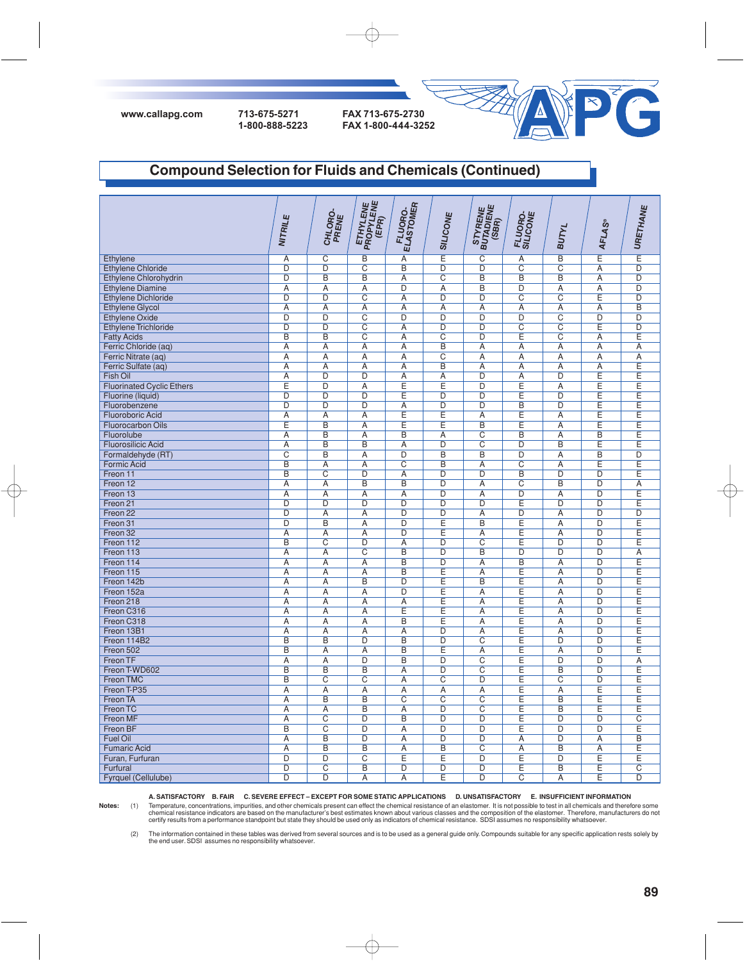



### **Compound Selection for Fluids and Chemicals (Continued)**

|                                  | NITRILE                 | CHLORO-<br>PRENE        | <b>ETHYLENE</b><br>PROPYLENE<br>(EPR) | FLUORO-<br>ELASTOMER    | SILICONE                | STYRENE<br>BUTADIENE<br>(SBR) | FLUORO-<br>SILICONE | <b>BUTYL</b>          | <b>AFLAS®</b>  | URETHANE                |
|----------------------------------|-------------------------|-------------------------|---------------------------------------|-------------------------|-------------------------|-------------------------------|---------------------|-----------------------|----------------|-------------------------|
|                                  |                         |                         |                                       |                         |                         |                               |                     |                       |                |                         |
| Ethylene                         | $\overline{A}$          | $\overline{\text{C}}$   | $\overline{B}$                        | A                       | Έ                       | $\overline{\text{c}}$         | $\overline{A}$      | $\overline{B}$        | E              | Έ                       |
| <b>Ethylene Chloride</b>         | $\overline{D}$          | $\overline{D}$          | $\overline{C}$                        | B                       | D                       | $\overline{D}$                | $\overline{C}$      | $\overline{C}$        | Α              | $\overline{D}$          |
| Ethylene Chlorohydrin            | D                       | $\overline{B}$          | B                                     | A                       | $\overline{C}$          | B                             | B                   | B                     | $\overline{A}$ | D                       |
| <b>Ethylene Diamine</b>          | $\overline{A}$          | Ā                       | $\overline{A}$                        | D                       | $\overline{A}$          | B                             | $\overline{D}$      | $\overline{A}$        | $\overline{A}$ | $\overline{D}$          |
| <b>Ethylene Dichloride</b>       | D                       | $\overline{D}$          | $\overline{C}$                        | A                       | D                       | D                             | $\overline{C}$      | $\overline{C}$        | Ε              | D                       |
| <b>Ethylene Glycol</b>           | Α                       | Α                       | Α                                     | Α                       | Α                       | Α                             | Α                   | Α                     | Α              | B                       |
| <b>Ethylene Oxide</b>            | $\overline{D}$          | $\overline{D}$          | $\overline{C}$                        | $\overline{D}$          | $\overline{D}$          | $\overline{D}$                | $\overline{D}$      | $\overline{C}$        | $\overline{D}$ | $\overline{D}$          |
| <b>Ethylene Trichloride</b>      | $\overline{D}$          | $\overline{D}$          | C                                     | $\overline{A}$          | D                       | $\overline{D}$                | $\overline{C}$      | $\overline{C}$        | Ε              | $\overline{D}$          |
| <b>Fatty Acids</b>               | $\overline{B}$          | $\overline{B}$          | $\overline{C}$                        | $\overline{A}$          | $\overline{C}$          | D                             | Ε                   | $\overline{C}$        | A              | E                       |
| Ferric Chloride (aq)             | A                       | $\overline{A}$          | A                                     | $\overline{A}$          | $\overline{B}$          | $\overline{A}$                | A                   | A                     | A              | $\overline{A}$          |
| Ferric Nitrate (aq)              | A                       | $\overline{A}$          | A                                     | $\overline{A}$          | $\overline{\mathrm{c}}$ | A                             | A                   | A                     | A              | $\overline{A}$          |
| Ferric Sulfate (aq)              | $\overline{A}$          | $\overline{A}$          | A                                     | $\overline{A}$          | $\overline{B}$          | A                             | $\overline{A}$      | $\overline{A}$        | A              | $\overline{\mathsf{E}}$ |
| Fish Oil                         | $\overline{A}$          | $\overline{D}$          | $\overline{D}$                        | $\overline{A}$          | $\overline{A}$          | $\overline{D}$                | $\overline{A}$      | $\overline{D}$        | Έ              | Ē                       |
| <b>Fluorinated Cyclic Ethers</b> | Ε                       | $\overline{D}$          | Α                                     | Ε                       | Ε                       | D                             | E                   | Α                     | Ē              | Ε                       |
| Fluorine (liquid)                | $\overline{\mathsf{D}}$ | $\overline{\mathsf{D}}$ | $\overline{D}$                        | Έ                       | $\overline{D}$          | $\overline{D}$                | Έ                   | $\overline{D}$        | Έ              | Ε                       |
| Fluorobenzene                    | $\overline{D}$          | $\overline{D}$          | D                                     | $\overline{A}$          | $\overline{D}$          | D                             | $\overline{B}$      | $\overline{D}$        | Έ              | Ε                       |
| <b>Fluoroboric Acid</b>          | Ā                       | Ā                       | Α                                     | Ε                       | Ε                       | Α                             | Ε                   | $\overline{A}$        | Ε              | Ε                       |
| <b>Fluorocarbon Oils</b>         | Ε                       | $\overline{B}$          | $\overline{A}$                        | Ε                       | Ε                       | $\overline{B}$                | Έ                   | $\overline{A}$        | Ε              | $\overline{E}$          |
| Fluorolube                       | $\overline{A}$          | $\overline{B}$          | A                                     | $\overline{B}$          | $\overline{A}$          | $\overline{C}$                | B                   | A                     | B              | E                       |
| <b>Fluorosilicic Acid</b>        | $\overline{A}$          | B                       | B                                     | $\overline{A}$          | D                       | $\overline{C}$                | D                   | B                     | E              | Ē                       |
| Formaldehyde (RT)                | $\overline{\mathsf{c}}$ | $\overline{B}$          | Ā                                     | $\overline{D}$          | $\overline{B}$          | B                             | $\overline{D}$      | $\overline{A}$        | $\overline{B}$ | $\overline{\mathsf{D}}$ |
| <b>Formic Acid</b>               | B                       | $\overline{A}$          | $\overline{A}$                        | $\overline{\text{c}}$   | $\overline{B}$          | $\overline{A}$                | $\overline{C}$      | $\overline{A}$        | E              | Ē                       |
| Freon 11                         | B                       | $\overline{C}$          | D                                     | Α                       | D                       | $\overline{D}$                | B                   | D                     | $\overline{D}$ | Ε                       |
| Freon 12                         | $\overline{A}$          | $\overline{A}$          | $\overline{B}$                        | $\overline{B}$          | $\overline{D}$          | $\overline{A}$                | $\overline{C}$      | B                     | $\overline{D}$ | $\overline{A}$          |
| Freon 13                         | $\overline{A}$          | Ā                       | Ā                                     | Ā                       | D                       | $\overline{A}$                | D                   | $\overline{A}$        | $\overline{D}$ | E                       |
| Freon 21                         | D                       | D                       | D                                     | D                       | D                       | D                             | Ε                   | $\overline{D}$        | D              | Ε                       |
| Freon 22                         | $\overline{D}$          | Ā                       | Α                                     | $\overline{D}$          | $\overline{D}$          | Α                             | $\overline{D}$      | $\overline{A}$        | $\overline{D}$ | $\overline{D}$          |
| Freon 31                         | D                       | $\overline{B}$          | $\overline{A}$                        | D                       | Ε                       | B                             | Ε                   | $\overline{A}$        | D              | Ε                       |
| Freon 32                         | A                       | Α                       | Α                                     | D                       | Ε                       | Α                             | Ε                   | A                     | D              | Ε                       |
| Freon 112                        | B                       | $\overline{\mathrm{c}}$ | D                                     | $\overline{A}$          | $\overline{D}$          | $\overline{c}$                | Ε                   | $\overline{D}$        | D              | Ē                       |
| Freon 113                        | A                       | A                       | $\overline{C}$                        | $\overline{B}$          | $\overline{D}$          | B                             | $\overline{D}$      | $\overline{D}$        | $\overline{D}$ | A                       |
| Freon 114                        | A                       | A                       | A                                     | $\overline{B}$          | $\overline{D}$          | A                             | $\overline{B}$      | $\overline{A}$        | $\overline{D}$ | Έ                       |
| Freon 115                        | $\overline{A}$          | $\overline{A}$          | A                                     | $\overline{B}$          | E                       | $\overline{A}$                | Έ                   | $\overline{A}$        | $\overline{D}$ | Ē                       |
| Freon 142b                       | $\overline{A}$          | Ā                       | $\overline{\mathsf{B}}$               | $\overline{\mathsf{D}}$ | Ē                       | $\overline{\mathsf{B}}$       | Έ                   | $\overline{A}$        | $\overline{D}$ | Ε                       |
| Freon 152a                       | Α                       | $\overline{A}$          | A                                     | $\overline{D}$          | E                       | Α                             | $\overline{E}$      | A                     | $\overline{D}$ | $\overline{\mathsf{E}}$ |
| Freon 218                        | $\overline{A}$          | $\overline{A}$          | A                                     | $\overline{A}$          | Έ                       | A                             | Έ                   | A                     | $\overline{D}$ | Ē                       |
| Freon C316                       | $\overline{A}$          | $\overline{A}$          | $\overline{A}$                        | Ε                       | E                       | $\overline{A}$                | Έ                   | $\overline{A}$        | D              | Έ                       |
| Freon C318                       | $\overline{A}$          | Ā                       | $\overline{A}$                        | $\overline{B}$          | Έ                       | $\overline{A}$                | Έ                   | $\overline{A}$        | $\overline{D}$ | E                       |
| Freon 13B1                       | $\overline{A}$          | $\overline{A}$          | A                                     | $\overline{A}$          | D                       | $\overline{A}$                | Έ                   | $\overline{A}$        | D              | Ε                       |
| Freon 114B2                      | B                       | $\overline{B}$          | D                                     | B                       | $\overline{D}$          | $\overline{C}$                | Ε                   | D                     | $\overline{D}$ | E                       |
| Freon 502                        | $\overline{B}$          | $\overline{A}$          | $\overline{A}$                        | $\overline{B}$          | Έ                       | $\overline{A}$                | Ε                   | $\overline{A}$        | $\overline{D}$ | Ε                       |
| Freon TF                         | Ā                       | Ā                       | $\overline{D}$                        | $\overline{B}$          | $\overline{D}$          | $\overline{C}$                | Ε                   | D                     | $\overline{D}$ | $\overline{A}$          |
| Freon T-WD602                    | B                       | B                       | B                                     | $\overline{A}$          | D                       | $\overline{C}$                | Ε                   | B                     | D              | Ē                       |
| <b>Freon TMC</b>                 | B                       | $\overline{\mathsf{c}}$ | $\overline{C}$                        | $\overline{A}$          | $\overline{\mathsf{c}}$ | D                             | Έ                   | $\overline{\text{c}}$ | $\overline{D}$ | Έ                       |
| Freon T-P35                      | $\overline{A}$          | $\overline{A}$          | $\overline{A}$                        | $\overline{A}$          | $\overline{A}$          | $\overline{A}$                | Έ                   | $\overline{A}$        | Ε              | E                       |
| Freon TA                         | $\overline{A}$          | B                       | B                                     | $\overline{C}$          | $\overline{C}$          | $\overline{C}$                | Ε                   | B                     | Ε              | E                       |
| Freon TC                         | $\overline{A}$          | $\overline{A}$          | $\overline{B}$                        | $\overline{A}$          | $\overline{D}$          | $\overline{\text{C}}$         | Ε                   | $\overline{B}$        | Ε              | E                       |
| Freon MF                         | $\overline{A}$          | $\overline{\text{C}}$   | $\overline{D}$                        | B                       | D                       | D                             | Ε                   | D                     | D              | $\overline{C}$          |
| Freon BF                         | B                       | $\overline{\text{c}}$   | D                                     | A                       | D                       | D                             | Ε                   | D                     | D              | Ε                       |
| <b>Fuel Oil</b>                  | $\overline{A}$          | B                       | $\overline{D}$                        | Ā                       | $\overline{D}$          | $\overline{D}$                | $\overline{A}$      | D                     | $\overline{A}$ | B                       |
| <b>Fumaric Acid</b>              | $\overline{A}$          | B                       | B                                     | A                       | B                       | $\overline{\text{c}}$         | $\overline{A}$      | $\overline{B}$        | $\overline{A}$ | Ε                       |
| Furan, Furfuran                  | D                       | D                       | C                                     | Ε                       | Ε                       | D                             | Ε                   | D                     | Ε              | Ε                       |
| Furfural                         | D                       | $\overline{\text{c}}$   | $\overline{B}$                        | $\overline{D}$          | $\overline{D}$          | $\overline{D}$                | Ε                   | $\overline{B}$        | Ε              | $\overline{\text{c}}$   |
| Fyrquel (Cellulube)              | D                       | $\overline{D}$          | A                                     | A                       | E                       | $\overline{D}$                | C                   | A                     | Ε              | $\overline{D}$          |

**A. SATISFACTORY B. FAIR C. SEVERE EFFECT – EXCEPT FOR SOME STATIC APPLICATIONS D. UNSATISFACTORY E. INSUFFICIENT INFORMATION**

Notes: (1) Temperature, concentrations, impurities, and other chemicals present can effect the chemical resistance of an elastomer. It is not possible to test in all chemicals and therefore some<br>chemical resistance indicat

(2) The information contained in these tables was derived from several sources and is to be used as a general guide only. Compounds suitable for any specific application rests solely by<br>the end user. SDSI assumes no respon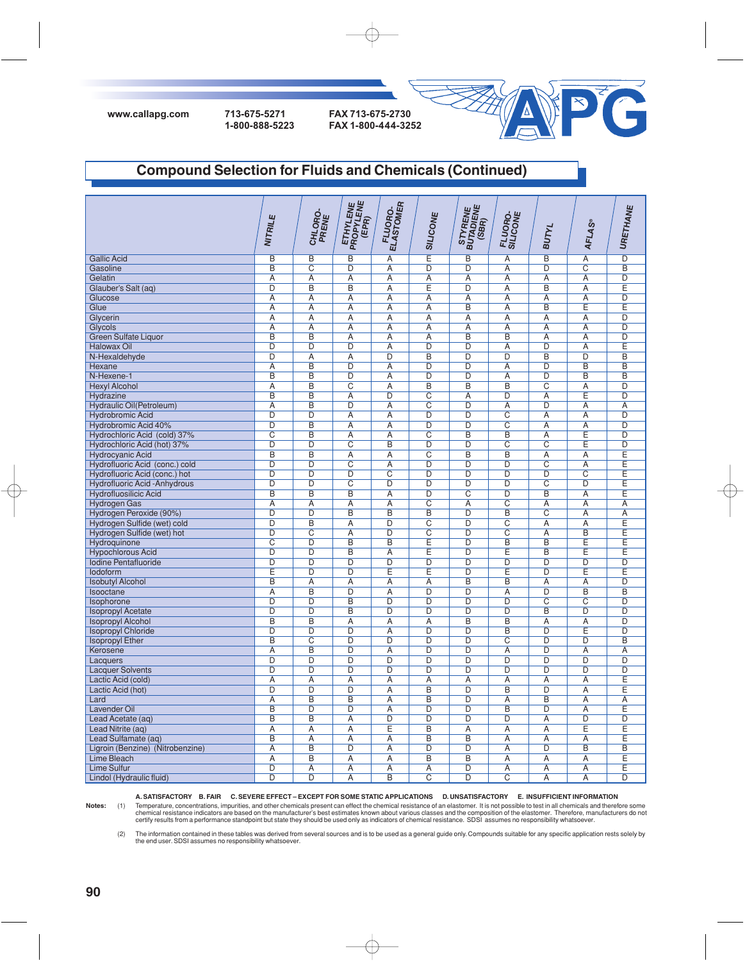

# **Compound Selection for Fluids and Chemicals (Continued)**

|                                      | NITRILE                 | CHLORO-<br>PRENE        | <b>ETHYLENE</b><br>PROPYLENE<br>(EPR) | FLUORO.<br>ELASTOMER    | SILICONE                | STYRENE<br>BUTADIENE<br>(SBR) | FLUORO-<br>SILICONE     | <b>BUTYL</b>            | <b>AFLAS®</b>         | URETHANE                |
|--------------------------------------|-------------------------|-------------------------|---------------------------------------|-------------------------|-------------------------|-------------------------------|-------------------------|-------------------------|-----------------------|-------------------------|
| <b>Gallic Acid</b>                   | $\overline{B}$          | $\overline{B}$          | $\overline{\mathsf{B}}$               | $\overline{A}$          | Ē                       | $\overline{\mathsf{B}}$       | $\overline{A}$          | $\overline{B}$          | $\overline{A}$        | $\overline{\mathsf{D}}$ |
| Gasoline                             | $\overline{B}$          | $\overline{\text{c}}$   | D                                     | Α                       | $\overline{\mathsf{D}}$ | $\overline{\mathsf{D}}$       | Α                       | $\overline{\mathsf{D}}$ | $\overline{\text{c}}$ | $\overline{B}$          |
| Gelatin                              | $\overline{A}$          | $\overline{A}$          | $\overline{A}$                        | $\overline{A}$          | $\overline{A}$          | $\overline{\mathsf{A}}$       | $\overline{A}$          | $\overline{A}$          | $\overline{A}$        | $\overline{D}$          |
| Glauber's Salt (aq)                  | $\overline{D}$          | $\overline{B}$          | B                                     | Ā                       | E                       | D                             | $\overline{A}$          | B                       | Α                     | E                       |
| Glucose                              | $\overline{A}$          | $\overline{A}$          | $\overline{A}$                        | Ā                       | $\overline{A}$          | $\overline{A}$                | $\overline{A}$          | $\overline{A}$          | $\overline{A}$        | $\overline{D}$          |
| Glue                                 | $\overline{A}$          | $\overline{A}$          | $\overline{A}$                        | Ā                       | $\overline{A}$          | B                             | $\overline{A}$          | B                       | Ε                     | E                       |
|                                      |                         |                         |                                       |                         |                         |                               |                         |                         |                       | D                       |
| Glycerin                             | A                       | A                       | A                                     | A                       | A                       | A                             | A                       | A                       | $\overline{A}$        | $\overline{D}$          |
| Glycols                              | $\overline{A}$          | $\overline{A}$          | $\overline{A}$                        | Ā                       | $\overline{A}$          | Ā                             | $\overline{A}$          | $\overline{A}$          | $\overline{A}$        |                         |
| Green Sulfate Liquor                 | B                       | $\overline{B}$          | A                                     | A                       | A                       | B                             | B                       | A                       | Α                     | $\overline{D}$          |
| <b>Halowax Oil</b>                   | D                       | $\overline{D}$          | $\overline{D}$                        | A                       | $\overline{D}$          | $\overline{D}$                | $\overline{A}$          | $\overline{D}$          | $\overline{A}$        | E                       |
| N-Hexaldehyde                        | $\overline{D}$          | $\overline{A}$          | A                                     | $\overline{D}$          | B                       | $\overline{D}$                | $\overline{D}$          | $\overline{\mathsf{B}}$ | $\overline{D}$        | $\overline{B}$          |
| <b>Hexane</b>                        | A                       | B                       | D                                     | A                       | $\overline{D}$          | D                             | A                       | $\overline{D}$          | B                     | B                       |
| N-Hexene-1                           | $\overline{B}$          | $\overline{B}$          | $\overline{D}$                        | $\overline{A}$          | $\overline{D}$          | $\overline{D}$                | $\overline{A}$          | $\overline{D}$          | $\overline{B}$        | $\overline{B}$          |
| <b>Hexyl Alcohol</b>                 | Α                       | $\overline{B}$          | $\overline{\mathrm{c}}$               | $\overline{A}$          | $\overline{B}$          | B                             | $\overline{B}$          | $\overline{C}$          | A                     | D                       |
| Hydrazine                            | $\overline{B}$          | $\overline{B}$          | Α                                     | $\overline{\mathsf{D}}$ | $\overline{\mathrm{c}}$ | Α                             | $\overline{\mathsf{D}}$ | Α                       | Έ                     | $\overline{D}$          |
| Hydraulic Oil(Petroleum)             | $\overline{A}$          | $\overline{B}$          | D                                     | $\overline{A}$          | $\overline{\mathrm{c}}$ | $\overline{D}$                | $\overline{A}$          | D                       | A                     | $\overline{A}$          |
| <b>Hydrobromic Acid</b>              | $\overline{\mathsf{D}}$ | $\overline{\mathsf{D}}$ | A                                     | Ā                       | $\overline{D}$          | $\overline{\mathsf{D}}$       | $\overline{\mathrm{c}}$ | $\overline{A}$          | A                     | $\overline{\mathsf{D}}$ |
| Hydrobromic Acid 40%                 | D                       | $\overline{B}$          | $\overline{A}$                        | $\overline{A}$          | D                       | D                             | $\overline{C}$          | $\overline{A}$          | $\overline{A}$        | $\overline{D}$          |
| Hydrochloric Acid (cold) 37%         | $\overline{\mathrm{c}}$ | $\overline{B}$          | A                                     | $\overline{A}$          | $\overline{\text{c}}$   | $\overline{\mathsf{B}}$       | $\overline{B}$          | $\overline{A}$          | Ε                     | $\overline{\mathsf{D}}$ |
| Hydrochloric Acid (hot) 37%          | D                       | $\overline{D}$          | $\overline{C}$                        | B                       | D                       | D                             | $\overline{C}$          | $\overline{C}$          | Έ                     | D                       |
| Hydrocyanic Acid                     | $\overline{B}$          | $\overline{B}$          | $\overline{A}$                        | $\overline{A}$          | $\overline{\text{c}}$   | $\overline{B}$                | $\overline{B}$          | $\overline{A}$          | A                     | Έ                       |
| Hydrofluoric Acid (conc.) cold       | D                       | $\overline{D}$          | $\overline{\text{c}}$                 | $\overline{A}$          | D                       | D                             | D                       | $\overline{C}$          | $\overline{A}$        | E                       |
| Hydrofluoric Acid (conc.) hot        | $\overline{D}$          | $\overline{D}$          | $\overline{\mathsf{D}}$               | $\overline{\text{c}}$   | $\overline{\mathsf{D}}$ | $\overline{D}$                | $\overline{D}$          | $\overline{D}$          | $\overline{\text{c}}$ | Έ                       |
| <b>Hydrofluoric Acid - Anhydrous</b> | $\overline{D}$          | $\overline{D}$          | $\overline{C}$                        | $\overline{D}$          | $\overline{D}$          | $\overline{D}$                | $\overline{D}$          | $\overline{C}$          | $\overline{D}$        | Ε                       |
| <b>Hydrofluosilicic Acid</b>         | B                       | $\overline{B}$          | B                                     | $\overline{A}$          | D                       | $\overline{C}$                | $\overline{D}$          | $\overline{B}$          | $\overline{A}$        | E                       |
| <b>Hydrogen Gas</b>                  | $\overline{A}$          | $\overline{A}$          | $\overline{A}$                        | $\overline{A}$          | $\overline{\text{C}}$   | $\overline{\mathsf{A}}$       | $\overline{C}$          | $\overline{A}$          | $\overline{A}$        | $\overline{\mathsf{A}}$ |
| Hydrogen Peroxide (90%)              | $\overline{D}$          | $\overline{D}$          | B                                     | $\overline{B}$          | B                       | $\overline{D}$                | B                       | $\overline{\text{c}}$   | $\overline{A}$        | $\overline{A}$          |
| Hydrogen Sulfide (wet) cold          | $\overline{D}$          | B                       | A                                     | D                       | $\overline{\text{c}}$   | D                             | $\overline{C}$          | $\overline{A}$          | $\overline{A}$        | Ε                       |
| Hydrogen Sulfide (wet) hot           | $\overline{D}$          | $\overline{C}$          | $\overline{A}$                        | $\overline{D}$          | $\overline{\mathrm{c}}$ | $\overline{D}$                | $\overline{C}$          | $\overline{A}$          | $\overline{B}$        | Ē                       |
| Hydroquinone                         | $\overline{\text{c}}$   | $\overline{\mathsf{D}}$ | B                                     | B                       | E                       | $\overline{\mathsf{D}}$       | B                       | B                       | Ε                     | E                       |
|                                      | $\overline{D}$          | $\overline{D}$          | $\overline{B}$                        | $\overline{A}$          | E                       | $\overline{D}$                | E                       | $\overline{B}$          | E                     | E                       |
| <b>Hypochlorous Acid</b>             | $\overline{D}$          | $\overline{\mathsf{D}}$ | D                                     | D                       | D                       | D                             | $\overline{D}$          | $\overline{D}$          | $\overline{D}$        | $\overline{D}$          |
| <b>Iodine Pentafluoride</b>          |                         |                         |                                       |                         |                         |                               |                         |                         |                       |                         |
| lodoform                             | E                       | $\overline{D}$          | D                                     | E                       | E                       | D                             | E                       | $\overline{D}$          | Ε                     | Ε                       |
| <b>Isobutyl Alcohol</b>              | B                       | Ā                       | Ā                                     | Ā                       | Ā                       | B                             | B                       | Ā                       | $\overline{A}$        | $\overline{D}$          |
| Isooctane                            | A                       | B                       | D                                     | A                       | D                       | D                             | A                       | D                       | B                     | B                       |
| Isophorone                           | D                       | D                       | B                                     | D                       | D                       | D                             | D                       | C                       | C                     | D                       |
| <b>Isopropyl Acetate</b>             | D                       | D                       | B                                     | $\overline{D}$          | $\overline{D}$          | D                             | D                       | $\overline{B}$          | $\overline{D}$        | $\overline{D}$          |
| <b>Isopropyl Alcohol</b>             | B                       | B                       | A                                     | Α                       | A                       | B                             | B                       | A                       | A                     | $\overline{D}$          |
| <b>Isopropyl Chloride</b>            | D                       | $\overline{D}$          | $\overline{\mathsf{D}}$               | Α                       | $\overline{D}$          | D                             | $\overline{B}$          | $\overline{D}$          | Е                     | $\overline{D}$          |
| <b>Isopropyl Ether</b>               | $\overline{\mathsf{B}}$ | $\overline{\text{c}}$   | $\overline{D}$                        | $\overline{D}$          | $\overline{D}$          | $\overline{D}$                | $\overline{C}$          | $\overline{D}$          | D                     | $\overline{B}$          |
| Kerosene                             | A                       | B                       | D                                     | A                       | D                       | D                             | A                       | $\overline{D}$          | A                     | Α                       |
| Lacquers                             | $\overline{D}$          | $\overline{D}$          | $\overline{D}$                        | $\overline{D}$          | $\overline{D}$          | $\overline{D}$                | $\overline{D}$          | $\overline{D}$          | $\overline{D}$        | $\overline{D}$          |
| <b>Lacquer Solvents</b>              | D                       | D                       | $\overline{D}$                        | $\overline{D}$          | $\overline{D}$          | D                             | D                       | D                       | D                     | D                       |
| Lactic Acid (cold)                   | Α                       | $\overline{A}$          | Α                                     | Ā                       | $\overline{A}$          | Α                             | A                       | Α                       | A                     | Έ                       |
| Lactic Acid (hot)                    | $\overline{D}$          | $\overline{D}$          | $\overline{D}$                        | $\overline{A}$          | $\overline{\mathsf{B}}$ | $\overline{D}$                | $\overline{B}$          | $\overline{D}$          | $\overline{A}$        | Ē                       |
| Lard                                 | A                       | $\overline{B}$          | $\overline{\mathsf{B}}$               | $\overline{A}$          | $\overline{\mathsf{B}}$ | $\overline{\mathsf{D}}$       | $\overline{A}$          | $\overline{B}$          | $\overline{A}$        | $\overline{A}$          |
| <b>Lavender Oil</b>                  | $\overline{B}$          | $\overline{D}$          | $\overline{D}$                        | $\overline{A}$          | $\overline{D}$          | $\overline{\mathsf{D}}$       | $\overline{B}$          | $\overline{D}$          | $\overline{A}$        | E                       |
| Lead Acetate (aq)                    | $\overline{B}$          | $\overline{B}$          | $\overline{A}$                        | $\overline{\mathsf{D}}$ | $\overline{D}$          | $\overline{D}$                | $\overline{D}$          | $\overline{A}$          | $\overline{D}$        | $\overline{D}$          |
| Lead Nitrite (aq)                    | $\overline{A}$          | $\overline{A}$          | $\overline{A}$                        | E                       | $\overline{B}$          | $\overline{\mathsf{A}}$       | $\overline{A}$          | $\overline{A}$          | Ε                     | Ε                       |
| Lead Sulfamate (aq)                  | $\overline{B}$          | $\overline{A}$          | $\overline{A}$                        | $\overline{A}$          | $\overline{B}$          | $\overline{B}$                | $\overline{A}$          | $\overline{A}$          | $\overline{A}$        | Έ                       |
| Ligroin (Benzine) (Nitrobenzine)     | $\overline{A}$          | B                       | $\overline{D}$                        | $\overline{A}$          | $\overline{\mathsf{D}}$ | $\overline{\mathsf{D}}$       | $\overline{A}$          | $\overline{D}$          | B                     | B                       |
| <b>Lime Bleach</b>                   | A                       | B                       | Ā                                     | Ā                       | B                       | B                             | $\overline{A}$          | Α                       | Α                     | Ε                       |
| <b>Lime Sulfur</b>                   | $\overline{\mathsf{D}}$ | $\overline{A}$          | $\overline{A}$                        | $\overline{A}$          | $\overline{A}$          | D                             | $\overline{A}$          | $\overline{A}$          | $\overline{A}$        | E                       |
| Lindol (Hydraulic fluid)             | D                       | $\overline{D}$          | $\overline{A}$                        | B                       | $\overline{\mathrm{C}}$ | D                             | $\overline{C}$          | $\overline{A}$          | $\overline{A}$        | D                       |
|                                      |                         |                         |                                       |                         |                         |                               |                         |                         |                       |                         |

**A. SATISFACTORY B. FAIR C. SEVERE EFFECT – EXCEPT FOR SOME STATIC APPLICATIONS D. UNSATISFACTORY E. INSUFFICIENT INFORMATION**

Notes: (1) Temperature, concentrations, impurities, and other chemicals present can effect the chemical resistance of an elastomer. It is not possible to test in all chemicals and therefore some<br>chemical resistance indicat

(2) The information contained in these tables was derived from several sources and is to be used as a general guide only. Compounds suitable for any specific application rests solely by<br>the end user. SDSI assumes no respon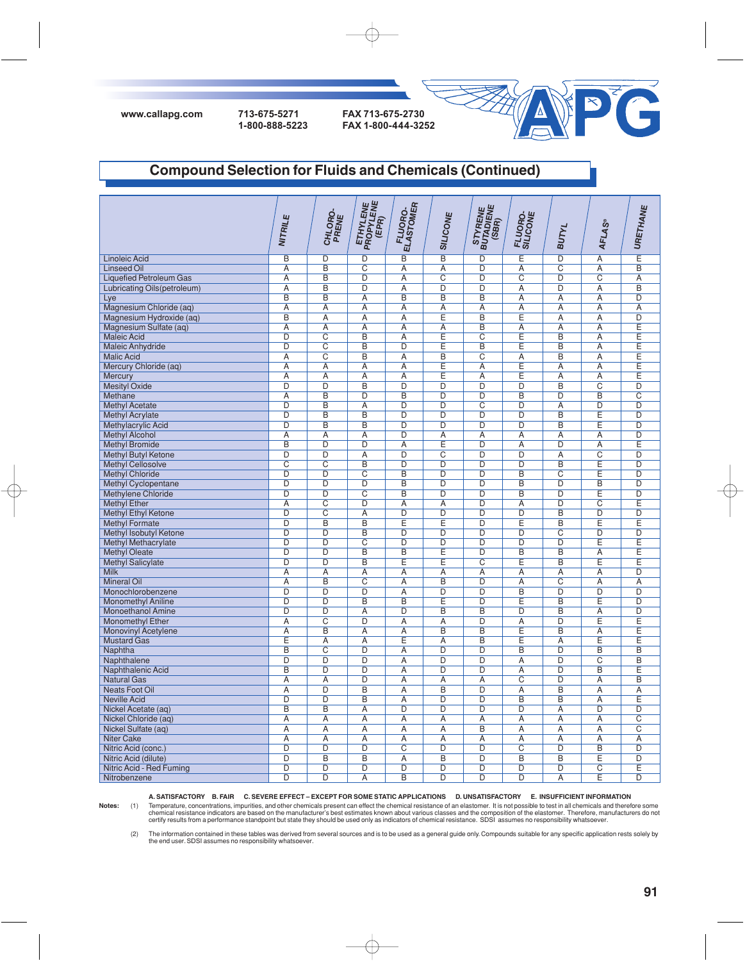



### **Compound Selection for Fluids and Chemicals (Continued)**

|                                | NITRILE                 | CHLORO-<br>PRENE        | <b>ETHYLENE</b><br>PROPYLENE<br>(EPR) | <b>FLUORO.</b><br>ELASTOMER | <b>SILICONE</b>         | STYRENE<br>BUTADIENE<br>(SBR) | FLUORO-<br>SILICONE     | <b>BUTYL</b>            | <b>AFLAS®</b>           | URETHANE                |
|--------------------------------|-------------------------|-------------------------|---------------------------------------|-----------------------------|-------------------------|-------------------------------|-------------------------|-------------------------|-------------------------|-------------------------|
| <b>Linoleic Acid</b>           | B                       | D                       | $\overline{D}$                        | B                           | $\overline{\mathsf{B}}$ | D                             | E                       | $\overline{D}$          | $\overline{\mathsf{A}}$ | Έ                       |
| <b>Linseed Oil</b>             | Α                       | B                       | С                                     | Α                           | Α                       | D                             | Α                       | $\overline{\mathrm{c}}$ | Α                       | B                       |
| <b>Liquefied Petroleum Gas</b> | $\overline{A}$          | $\overline{B}$          | D                                     | $\overline{A}$              | $\overline{C}$          | D                             | $\overline{\text{c}}$   | $\overline{D}$          | $\overline{C}$          | $\overline{A}$          |
| Lubricating Oils(petroleum)    | A                       | $\overline{B}$          | $\overline{D}$                        | Α                           | $\overline{D}$          | D                             | A                       | $\overline{\mathsf{D}}$ | Α                       | $\overline{B}$          |
| Lye                            | $\overline{B}$          | $\overline{B}$          | $\overline{A}$                        | $\overline{B}$              | $\overline{B}$          | $\overline{B}$                | $\overline{A}$          | $\overline{A}$          | $\overline{\mathsf{A}}$ | $\overline{D}$          |
| Magnesium Chloride (aq)        | A                       | $\overline{A}$          | A                                     | A                           | $\overline{A}$          | A                             | $\overline{A}$          | $\overline{A}$          | Α                       | $\overline{A}$          |
| Magnesium Hydroxide (aq)       | $\overline{B}$          | $\overline{A}$          | $\overline{A}$                        | $\overline{A}$              | Ē                       | $\overline{\mathsf{B}}$       | Ē                       | $\overline{A}$          | A                       | $\overline{D}$          |
| Magnesium Sulfate (ag)         | $\overline{A}$          | $\overline{A}$          | $\overline{A}$                        | $\overline{A}$              | $\overline{A}$          | $\overline{B}$                | $\overline{A}$          | $\overline{A}$          | $\overline{A}$          | Ē                       |
| <b>Maleic Acid</b>             | $\overline{\mathsf{D}}$ | $\overline{\text{c}}$   | $\overline{\mathsf{B}}$               | $\overline{A}$              | Ē                       | $\overline{\text{c}}$         | Ē                       | $\overline{B}$          | $\overline{A}$          | Ē                       |
| <b>Maleic Anhydride</b>        | $\overline{D}$          | $\overline{C}$          | $\overline{B}$                        | $\overline{D}$              | Ē                       | $\overline{B}$                | Ε                       | $\overline{B}$          | Ā                       | Ē                       |
| <b>Malic Acid</b>              | $\overline{A}$          | $\overline{\text{c}}$   | B                                     | $\overline{A}$              | $\overline{\mathsf{B}}$ | $\overline{\text{c}}$         | $\overline{A}$          | $\overline{\mathsf{B}}$ | $\overline{A}$          | Ē                       |
| Mercury Chloride (aq)          | $\overline{A}$          | $\overline{A}$          | $\overline{A}$                        | $\overline{A}$              | Ē                       | $\overline{A}$                | Ē                       | $\overline{A}$          | $\overline{A}$          | Ē                       |
| Mercury                        | $\overline{A}$          | $\overline{A}$          | $\overline{A}$                        | $\overline{A}$              | Ē                       | $\overline{A}$                | Ē                       | $\overline{A}$          | $\overline{A}$          | Ē                       |
| <b>Mesityl Oxide</b>           | $\overline{D}$          | $\overline{D}$          | $\overline{B}$                        | $\overline{D}$              | D                       | $\overline{D}$                | D                       | $\overline{B}$          | $\overline{\mathrm{c}}$ | $\overline{D}$          |
| Methane                        | $\overline{A}$          | $\overline{\mathsf{B}}$ | D                                     | $\overline{\mathsf{B}}$     | $\overline{\mathsf{D}}$ | D                             | $\overline{\mathsf{B}}$ | D                       | $\overline{\mathsf{B}}$ | $\overline{\text{c}}$   |
| <b>Methyl Acetate</b>          | $\overline{D}$          | $\overline{B}$          | A                                     | $\overline{D}$              | $\overline{D}$          | $\overline{C}$                | $\overline{D}$          | $\overline{A}$          | D                       | $\overline{D}$          |
| <b>Methyl Acrylate</b>         | D                       | B                       | B                                     | D                           | D                       | D                             | D                       | B                       | E                       | D                       |
| Methylacrylic Acid             | $\overline{D}$          | $\overline{B}$          | $\overline{B}$                        | $\overline{D}$              | $\overline{D}$          | $\overline{D}$                | $\overline{\mathsf{D}}$ | $\overline{B}$          | Ē                       | $\overline{D}$          |
| <b>Methyl Alcohol</b>          | $\overline{A}$          | Ā                       | $\overline{A}$                        | D                           | $\overline{A}$          | Α                             | $\overline{A}$          | $\overline{A}$          | Ā                       | D                       |
| <b>Methyl Bromide</b>          | $\overline{B}$          | $\overline{D}$          | $\overline{D}$                        | $\overline{A}$              | Ε                       | $\overline{D}$                | $\overline{A}$          | $\overline{D}$          | $\overline{A}$          | Ē                       |
| <b>Methyl Butyl Ketone</b>     | D                       | D                       | $\overline{A}$                        | D                           | $\overline{\text{c}}$   | D                             | D                       | $\overline{A}$          | $\overline{\text{C}}$   | D                       |
| <b>Methyl Cellosolve</b>       | $\overline{C}$          | $\overline{\text{c}}$   | B                                     | D                           | D                       | D                             | D                       | $\overline{B}$          | E                       | $\overline{D}$          |
| <b>Methyl Chloride</b>         | $\overline{D}$          | D                       | $\overline{C}$                        | B                           | D                       | D                             | B                       | $\overline{\text{c}}$   | E                       | D                       |
| <b>Methyl Cyclopentane</b>     | $\overline{\mathsf{D}}$ | $\overline{\mathsf{D}}$ | $\overline{D}$                        | $\overline{B}$              | $\overline{\mathsf{D}}$ | $\overline{\mathsf{D}}$       | $\overline{\mathsf{B}}$ | $\overline{D}$          | $\overline{\mathsf{B}}$ | $\overline{\mathsf{D}}$ |
| <b>Methylene Chloride</b>      | $\overline{D}$          | $\overline{\mathsf{D}}$ | $\overline{\text{c}}$                 | $\overline{B}$              | $\overline{\mathsf{D}}$ | $\overline{\mathsf{D}}$       | $\overline{B}$          | $\overline{\mathsf{D}}$ | Ē                       | $\overline{\mathsf{D}}$ |
| <b>Methyl Ether</b>            | $\overline{A}$          | $\overline{\text{c}}$   | $\overline{\mathsf{D}}$               | $\overline{A}$              | $\overline{\mathsf{A}}$ | $\overline{\mathsf{D}}$       | $\overline{A}$          | $\overline{\mathsf{D}}$ | $\overline{\text{c}}$   | Ε                       |
| <b>Methyl Ethyl Ketone</b>     | D                       | $\overline{\text{C}}$   | A                                     | D                           | D                       | D                             | D                       | B                       | D                       | D                       |
| <b>Methyl Formate</b>          | $\overline{D}$          | $\overline{B}$          | $\overline{B}$                        | Ē                           | Ē                       | $\overline{\mathsf{D}}$       | Ē                       | $\overline{\mathsf{B}}$ | Ē                       | Ē                       |
| Methyl Isobutyl Ketone         | D                       | D                       | B                                     | D                           | D                       | D                             | D                       | $\overline{\text{c}}$   | D                       | D                       |
| <b>Methyl Methacrylate</b>     | D                       | D                       | C                                     | D                           | D                       | D                             | D                       | D                       | Е                       | Ε                       |
| <b>Methyl Oleate</b>           | $\overline{D}$          | D                       | B                                     | B                           | E                       | D                             | B                       | B                       | Ā                       | Ε                       |
| <b>Methyl Salicylate</b>       | D                       | D                       | B                                     | Ε                           | E                       | С                             | E                       | B                       | E                       | Ε                       |
| <b>Milk</b>                    | A                       | A                       | $\overline{A}$                        | A                           | Ā                       | Ā                             | Ā                       | A                       | Ā                       | $\overline{D}$          |
| <b>Mineral Oil</b>             | Α                       | B                       | $\overline{\text{c}}$                 | Α                           | $\overline{\mathsf{B}}$ | D                             | Α                       | $\overline{\text{c}}$   | Α                       | $\overline{A}$          |
| Monochlorobenzene              | $\overline{D}$          | $\overline{D}$          | D                                     | Α                           | $\overline{D}$          | D                             | B                       | D                       | D                       | $\overline{D}$          |
| <b>Monomethyl Aniline</b>      | $\overline{D}$          | $\overline{D}$          | $\overline{B}$                        | $\overline{\mathsf{B}}$     | Ē                       | D                             | E                       | $\overline{\mathsf{B}}$ | E                       | $\overline{D}$          |
| <b>Monoethanol Amine</b>       | D                       | $\overline{D}$          | A                                     | $\overline{D}$              | $\overline{B}$          | $\overline{B}$                | D                       | $\overline{B}$          | Α                       | $\overline{D}$          |
| <b>Monomethyl Ether</b>        | $\overline{A}$          | $\overline{\text{c}}$   | $\overline{D}$                        | $\overline{A}$              | $\overline{A}$          | D                             | $\overline{A}$          | $\overline{\mathsf{D}}$ | Ē                       | Ē                       |
| <b>Monovinyl Acetylene</b>     | $\overline{A}$          | $\overline{B}$          | A                                     | $\overline{A}$              | $\overline{B}$          | $\overline{B}$                | Ē                       | $\overline{B}$          | Α                       | Ē                       |
| <b>Mustard Gas</b>             | Ē                       | $\overline{A}$          | A                                     | Έ                           | $\overline{A}$          | B                             | Ē                       | $\overline{A}$          | Ē                       | Ē                       |
| Naphtha                        | $\overline{B}$          | $\overline{C}$          | $\overline{D}$                        | $\overline{A}$              | $\overline{D}$          | $\overline{D}$                | $\overline{B}$          | $\overline{D}$          | $\overline{\mathsf{B}}$ | $\overline{B}$          |
| Naphthalene                    | D                       | D                       | D                                     | $\overline{A}$              | D                       | D                             | $\overline{A}$          | D                       | $\overline{\text{c}}$   | $\overline{\mathsf{B}}$ |
| Naphthalenic Acid              | $\overline{B}$          | $\overline{D}$          | $\overline{D}$                        | $\overline{A}$              | $\overline{D}$          | $\overline{\mathsf{D}}$       | $\overline{A}$          | $\overline{D}$          | $\overline{\mathsf{B}}$ | Ē                       |
| <b>Natural Gas</b>             | A                       | A                       | D                                     | $\overline{A}$              | $\overline{A}$          | A                             | $\overline{\text{c}}$   | D                       | Α                       | $\overline{\mathsf{B}}$ |
| <b>Neats Foot Oil</b>          | $\overline{A}$          | $\overline{\mathsf{D}}$ | $\overline{B}$                        | $\overline{A}$              | $\overline{\mathsf{B}}$ | $\overline{\mathsf{D}}$       | $\overline{A}$          | $\overline{B}$          | $\overline{\mathsf{A}}$ | $\overline{A}$          |
| <b>Neville Acid</b>            | $\overline{D}$          | D                       | $\overline{\mathsf{B}}$               | $\overline{A}$              | D                       | D                             | $\overline{\mathsf{B}}$ | $\overline{\mathsf{B}}$ | Ā                       | Ē                       |
| Nickel Acetate (aq)            | $\overline{B}$          | $\overline{\mathsf{B}}$ | $\overline{A}$                        | $\overline{D}$              | $\overline{\mathsf{D}}$ | $\overline{D}$                | $\overline{D}$          | $\overline{\mathsf{A}}$ | $\overline{\mathsf{D}}$ | $\overline{D}$          |
| Nickel Chloride (aq)           | Α                       | Α                       | Α                                     | Α                           | Α                       | Α                             | Α                       | Α                       | Α                       | $\overline{\text{c}}$   |
| Nickel Sulfate (aq)            | $\overline{A}$          | $\overline{A}$          | $\overline{A}$                        | $\overline{A}$              | $\overline{A}$          | $\overline{B}$                | $\overline{A}$          | $\overline{A}$          | $\overline{A}$          | $\overline{C}$          |
| <b>Niter Cake</b>              | $\overline{A}$          | Ā                       | $\overline{A}$                        | A                           | Ā                       | Ā                             | $\overline{A}$          | $\overline{A}$          | Ā                       | $\overline{A}$          |
| Nitric Acid (conc.)            | $\overline{D}$          | $\overline{D}$          | $\overline{D}$                        | $\overline{\text{c}}$       | $\overline{\mathsf{D}}$ | $\overline{D}$                | $\overline{\text{c}}$   | $\overline{\mathsf{D}}$ | B                       | $\overline{D}$          |
| Nitric Acid (dilute)           | $\overline{D}$          | B                       | B                                     | A                           | B                       | D                             | B                       | B                       | E                       | D                       |
| Nitric Acid - Red Fuming       | D                       | $\overline{\mathsf{D}}$ | D                                     | $\overline{D}$              | $\overline{\mathsf{D}}$ | $\overline{\mathsf{D}}$       | D                       | $\overline{\mathsf{D}}$ | $\overline{\text{c}}$   | E                       |
| Nitrobenzene                   | $\overline{D}$          | D                       | $\overline{A}$                        | B                           | D                       | D                             | $\overline{D}$          | $\overline{\mathsf{A}}$ | E                       | $\overline{D}$          |

**A. SATISFACTORY B. FAIR C. SEVERE EFFECT – EXCEPT FOR SOME STATIC APPLICATIONS D. UNSATISFACTORY E. INSUFFICIENT INFORMATION**

 $\oplus$ 

Notes: (1) Temperature, concentrations, impurities, and other chemicals present can effect the chemical resistance of an elastomer. It is not possible to test in all chemicals and therefore some<br>chemical resistance indicat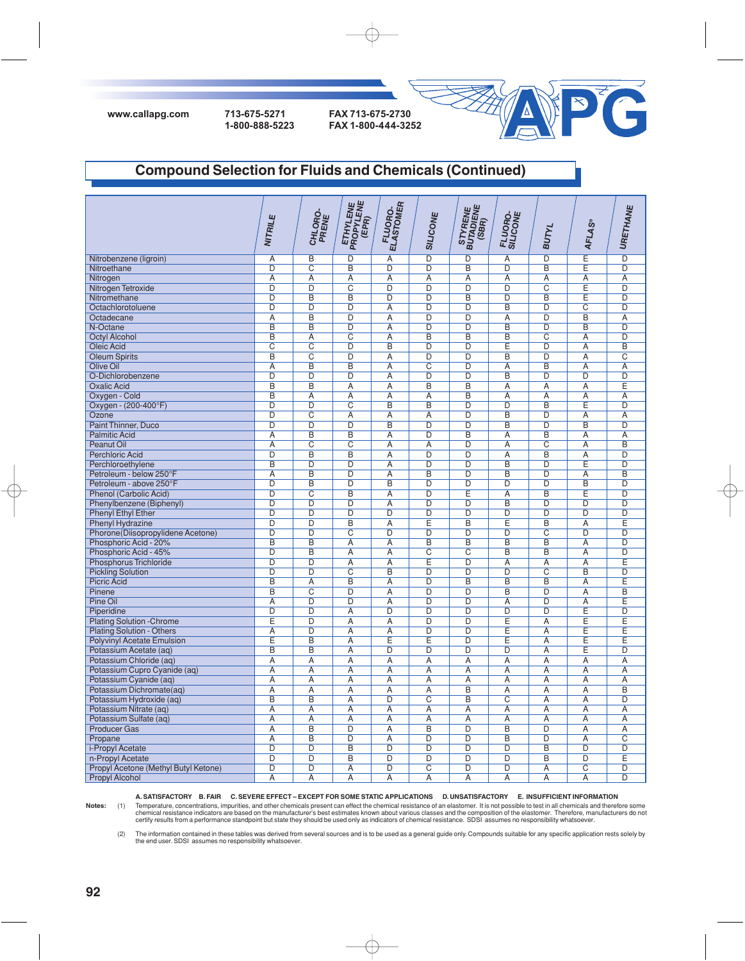

# **Compound Selection for Fluids and Chemicals (Continued)**

|                                      | NITRILE                          | CHLORO-<br>PRENE                 | <b>ETHYLENE</b><br>PROPYLENE<br>(EPR)   | <b>FLUORO.</b><br>ELASTOMER      | <b>SILICONE</b>                  | STYRENE<br>BUTADIENE<br>(SBR)             | FLUORO-<br>SILICONE              | <b>BUTYL</b>                     | <b>AFLAS®</b>                    | URETHANE                         |
|--------------------------------------|----------------------------------|----------------------------------|-----------------------------------------|----------------------------------|----------------------------------|-------------------------------------------|----------------------------------|----------------------------------|----------------------------------|----------------------------------|
|                                      |                                  |                                  |                                         |                                  | $\overline{\mathsf{D}}$          |                                           |                                  | $\overline{\mathsf{D}}$          | Έ                                | $\overline{\mathsf{D}}$          |
| Nitrobenzene (ligroin)               | $\overline{A}$                   | $\overline{B}$                   | $\overline{D}$                          | $\overline{A}$                   |                                  | $\overline{\mathsf{D}}$                   | $\overline{A}$                   |                                  |                                  |                                  |
| Nitroethane                          | $\overline{\mathsf{D}}$          | $\overline{\text{c}}$            | $\overline{B}$                          | $\overline{D}$                   | $\overline{D}$                   | $\overline{\mathsf{B}}$                   | $\overline{D}$                   | $\overline{B}$                   | Έ                                | $\overline{D}$                   |
| Nitrogen                             | $\overline{A}$<br>$\overline{D}$ | $\overline{A}$<br>$\overline{D}$ | $\overline{A}$                          | $\overline{A}$<br>$\overline{D}$ | $\overline{A}$<br>$\overline{D}$ | $\overline{\mathsf{A}}$<br>$\overline{D}$ | $\overline{A}$<br>$\overline{D}$ | $\overline{A}$                   | $\overline{A}$                   | $\overline{A}$<br>$\overline{D}$ |
| Nitrogen Tetroxide                   | $\overline{\mathsf{D}}$          | $\overline{B}$                   | $\overline{\text{c}}$<br>$\overline{B}$ | $\overline{D}$                   | $\overline{D}$                   | $\overline{B}$                            | $\overline{D}$                   | $\overline{C}$<br>$\overline{B}$ | Έ<br>Έ                           | $\overline{D}$                   |
| Nitromethane                         | $\overline{\mathsf{D}}$          | $\overline{D}$                   | $\overline{D}$                          |                                  | $\overline{D}$                   | $\overline{\mathsf{D}}$                   | $\overline{B}$                   | $\overline{D}$                   |                                  | $\overline{D}$                   |
| Octachlorotoluene                    |                                  | $\overline{B}$                   | $\overline{D}$                          | $\overline{A}$                   | $\overline{D}$                   | $\overline{\mathsf{D}}$                   | $\overline{A}$                   | $\overline{D}$                   | $\overline{C}$<br>$\overline{B}$ | $\overline{A}$                   |
| Octadecane                           | $\overline{A}$<br>B              | $\overline{B}$                   | D                                       | $\overline{A}$                   | $\overline{D}$                   | $\overline{D}$                            | B                                | D                                | B                                | $\overline{D}$                   |
| N-Octane<br><b>Octyl Alcohol</b>     | B                                | $\overline{A}$                   | $\overline{\text{c}}$                   | $\overline{A}$<br>$\overline{A}$ | B                                | B                                         | B                                | $\overline{\text{c}}$            | $\overline{A}$                   | $\overline{D}$                   |
| <b>Oleic Acid</b>                    | $\overline{C}$                   | $\overline{\text{c}}$            | D                                       | $\overline{B}$                   | $\overline{D}$                   | D                                         | E                                | $\overline{D}$                   | $\overline{A}$                   | $\overline{B}$                   |
| <b>Oleum Spirits</b>                 | B                                | $\overline{\text{c}}$            | D                                       | $\overline{A}$                   | $\overline{D}$                   | $\overline{D}$                            | B                                | $\overline{D}$                   | $\overline{A}$                   | $\overline{\mathrm{c}}$          |
| <b>Olive Oil</b>                     | $\overline{A}$                   | $\overline{B}$                   | B                                       | $\overline{A}$                   | $\overline{C}$                   | D                                         | $\overline{A}$                   | $\overline{B}$                   | $\overline{A}$                   | $\overline{A}$                   |
| O-Dichlorobenzene                    | D                                | $\overline{\mathsf{D}}$          | $\overline{\mathsf{D}}$                 | Α                                | $\overline{D}$                   | D                                         | $\overline{B}$                   | $\overline{\mathsf{D}}$          | D                                | $\overline{\mathsf{D}}$          |
| <b>Oxalic Acid</b>                   | B                                | $\overline{B}$                   | $\overline{A}$                          | $\overline{A}$                   | B                                | $\overline{B}$                            | $\overline{A}$                   | $\overline{A}$                   | $\overline{A}$                   | E                                |
| Oxygen - Cold                        | B                                | Α                                | Α                                       | Α                                | Α                                | B                                         | $\overline{A}$                   | Α                                | Α                                | $\overline{A}$                   |
| Oxygen - (200-400°F)                 | $\overline{D}$                   | $\overline{D}$                   | $\overline{C}$                          | $\overline{B}$                   | $\overline{B}$                   | $\overline{D}$                            | $\overline{D}$                   | $\overline{B}$                   | Έ                                | $\overline{D}$                   |
| Ozone                                | D                                | $\overline{\text{c}}$            | A                                       | Ā                                | $\overline{A}$                   | D                                         | B                                | D                                | Α                                | Ā                                |
| Paint Thinner, Duco                  | $\overline{\mathsf{D}}$          | $\overline{\mathsf{D}}$          | $\overline{\mathsf{D}}$                 | $\overline{B}$                   | $\overline{D}$                   | $\overline{\mathsf{D}}$                   | $\overline{\mathsf{B}}$          | $\overline{D}$                   | $\overline{B}$                   | $\overline{D}$                   |
| <b>Palmitic Acid</b>                 | $\overline{A}$                   | B                                | B                                       | Α                                | $\overline{D}$                   | B                                         | Ā                                | B                                | Α                                | A                                |
| Peanut Oil                           | Α                                | $\overline{C}$                   | $\overline{C}$                          | $\overline{A}$                   | Α                                | D                                         | $\overline{A}$                   | $\overline{C}$                   | Α                                | B                                |
| <b>Perchloric Acid</b>               | D                                | B                                | B                                       | $\overline{A}$                   | $\overline{D}$                   | D                                         | $\overline{A}$                   | B                                | $\overline{A}$                   | $\overline{D}$                   |
| Perchloroethylene                    | B                                | D                                | D                                       | A                                | D                                | D                                         | B                                | D                                | Ε                                | D                                |
| Petroleum - below 250°F              | Α                                | B                                | D                                       | Ā                                | B                                | D                                         | B                                | $\overline{D}$                   | Α                                | B                                |
| Petroleum - above 250°F              | D                                | B                                | D                                       | $\overline{B}$                   | D                                | D                                         | D                                | $\overline{D}$                   | $\overline{B}$                   | $\overline{D}$                   |
| <b>Phenol (Carbolic Acid)</b>        | D                                | $\overline{\text{c}}$            | B                                       | $\overline{A}$                   | $\overline{\mathsf{D}}$          | Ē                                         | $\overline{A}$                   | $\overline{B}$                   | Ε                                | $\overline{D}$                   |
| Phenylbenzene (Biphenyl)             | D                                | $\overline{\mathsf{D}}$          | D                                       | $\overline{A}$                   | $\overline{D}$                   | D                                         | $\overline{B}$                   | $\overline{D}$                   | D                                | $\overline{D}$                   |
| <b>Phenyl Ethyl Ether</b>            | D                                | D                                | D                                       | $\overline{D}$                   | $\overline{D}$                   | $\overline{D}$                            | D                                | D                                | D                                | $\overline{D}$                   |
| <b>Phenyl Hydrazine</b>              | $\overline{D}$                   | D                                | $\overline{B}$                          | $\overline{A}$                   | Ē                                | $\overline{B}$                            | Ε                                | $\overline{B}$                   | $\overline{A}$                   | Έ                                |
| Phorone(Diisopropylidene Acetone)    | D                                | $\overline{D}$                   | $\overline{\mathrm{c}}$                 | $\overline{D}$                   | $\overline{D}$                   | D                                         | D                                | $\overline{C}$                   | D                                | $\overline{D}$                   |
| Phosphoric Acid - 20%                | $\overline{B}$                   | $\overline{\mathsf{B}}$          | $\overline{A}$                          | $\overline{A}$                   | $\overline{B}$                   | $\overline{\mathsf{B}}$                   | $\overline{B}$                   | $\overline{B}$                   | $\overline{A}$                   | $\overline{D}$                   |
| Phosphoric Acid - 45%                | D                                | $\overline{B}$                   | A                                       | A                                | $\overline{C}$                   | $\overline{\mathrm{C}}$                   | B                                | $\overline{B}$                   | A                                | $\overline{D}$                   |
| <b>Phosphorus Trichloride</b>        | $\overline{\mathsf{D}}$          | $\overline{\mathsf{D}}$          | $\overline{A}$                          | $\overline{A}$                   | Ē                                | D                                         | $\overline{A}$                   | $\overline{A}$                   | $\overline{A}$                   | Ē                                |
| <b>Pickling Solution</b>             | $\overline{D}$                   | $\overline{D}$                   | $\overline{C}$                          | $\overline{B}$                   | $\overline{D}$                   | $\overline{D}$                            | $\overline{D}$                   | $\overline{C}$                   | $\overline{B}$                   | $\overline{D}$                   |
| <b>Picric Acid</b>                   | B                                | $\overline{A}$                   | $\overline{B}$                          | $\overline{A}$                   | $\overline{D}$                   | B                                         | $\overline{B}$                   | $\overline{B}$                   | A                                | E                                |
| Pinene                               | $\overline{B}$                   | $\overline{C}$                   | $\overline{D}$                          | $\overline{A}$                   | $\overline{D}$                   | $\overline{D}$                            | $\overline{B}$                   | $\overline{D}$                   | $\overline{A}$                   | $\overline{B}$                   |
| Pine Oil                             | A                                | D                                | D                                       | $\overline{A}$                   | $\overline{D}$                   | D                                         | $\overline{A}$                   | $\overline{D}$                   | A                                | Ē                                |
| Piperidine                           | $\overline{D}$                   | $\overline{D}$                   | $\overline{A}$                          | $\overline{D}$                   | $\overline{D}$                   | $\overline{D}$                            | $\overline{D}$                   | $\overline{D}$                   | Ε                                | $\overline{D}$                   |
| <b>Plating Solution - Chrome</b>     | Ε                                | D                                | $\overline{A}$                          | $\overline{A}$                   | $\overline{D}$                   | D                                         | Ē                                | $\overline{\mathsf{A}}$          | E                                | Ē                                |
| <b>Plating Solution - Others</b>     | $\overline{A}$                   | $\overline{D}$                   | A                                       | $\overline{A}$                   | $\overline{D}$                   | $\overline{D}$                            | Ē                                | $\overline{A}$                   | Έ                                | $\overline{\mathsf{E}}$          |
| <b>Polyvinyl Acetate Emulsion</b>    | Ē                                | $\overline{\mathsf{B}}$          | A                                       | Ē                                | Ē                                | D                                         | Ē                                | $\overline{A}$                   | Ē                                | Ē                                |
| Potassium Acetate (aq)               | $\overline{\mathsf{B}}$          | $\overline{B}$                   | $\overline{A}$                          | $\overline{D}$                   | $\overline{D}$                   | $\overline{\mathsf{D}}$                   | $\overline{D}$                   | $\overline{A}$                   | Έ                                | $\overline{D}$                   |
| Potassium Chloride (aq)              | Ā                                | $\overline{A}$                   | $\overline{A}$                          | $\overline{A}$                   | $\overline{A}$                   | $\overline{A}$                            | $\overline{A}$                   | $\overline{A}$                   | $\overline{A}$                   | $\overline{A}$                   |
| Potassium Cupro Cyanide (aq)         | A                                | $\overline{A}$                   | A                                       | $\overline{A}$                   | $\overline{A}$                   | Ā                                         | $\overline{A}$                   | $\overline{A}$                   | $\overline{A}$                   | $\overline{A}$                   |
| Potassium Cyanide (aq)               | Ā                                | Ā                                | $\overline{A}$                          | $\overline{A}$                   | $\overline{A}$                   | Ā                                         | $\overline{A}$                   | $\overline{A}$                   | $\overline{A}$                   | $\overline{A}$                   |
| Potassium Dichromate(aq)             | $\overline{A}$                   | $\overline{A}$                   | $\overline{A}$                          | $\overline{A}$                   | $\overline{A}$                   | $\overline{B}$                            | $\overline{A}$                   | $\overline{A}$                   | $\overline{A}$                   | $\overline{B}$                   |
| Potassium Hydroxide (aq)             | $\overline{\mathsf{B}}$          | $\overline{\mathsf{B}}$          | $\overline{A}$                          | $\overline{\mathsf{D}}$          | $\overline{\mathsf{C}}$          | $\overline{\mathsf{B}}$                   | $\overline{\mathsf{C}}$          | $\overline{A}$                   | Α                                | $\overline{D}$                   |
| Potassium Nitrate (aq)               | $\overline{A}$                   | $\overline{A}$                   | $\overline{A}$                          | $\overline{A}$                   | $\overline{A}$                   | $\overline{\mathsf{A}}$                   | $\overline{A}$                   | $\overline{A}$                   | $\overline{A}$                   | $\overline{A}$                   |
| Potassium Sulfate (ag)               | Α                                | Ā                                | Α                                       | $\overline{A}$                   | $\overline{A}$                   | $\overline{A}$                            | $\overline{A}$                   | Α                                | Α                                | $\overline{A}$                   |
| <b>Producer Gas</b>                  | $\overline{A}$                   | $\overline{B}$                   | $\overline{D}$                          | $\overline{A}$                   | $\overline{B}$                   | $\overline{D}$                            | B                                | $\overline{D}$                   | $\overline{A}$                   | $\overline{A}$                   |
| Propane                              | Ā                                | B                                | D                                       | $\overline{A}$                   | $\overline{D}$                   | D                                         | B                                | D                                | $\overline{A}$                   | $\overline{C}$                   |
| i-Propyl Acetate                     | $\overline{\mathsf{D}}$          | $\overline{D}$                   | B                                       | $\overline{D}$                   | $\overline{D}$                   | $\overline{\mathsf{D}}$                   | $\overline{D}$                   | $\overline{B}$                   | $\overline{D}$                   | $\overline{D}$                   |
| n-Propyl Acetate                     | D                                | D                                | B                                       | $\overline{D}$                   | $\overline{D}$                   | D                                         | D                                | $\overline{B}$                   | D                                | Ē                                |
| Propyl Acetone (Methyl Butyl Ketone) | $\overline{\mathsf{D}}$          | $\overline{\mathsf{D}}$          | $\overline{A}$                          | $\overline{\mathsf{D}}$          | $\overline{\text{c}}$            | $\overline{\mathsf{D}}$                   | $\overline{\mathsf{D}}$          | A                                | $\overline{\text{c}}$            | $\overline{D}$                   |
| <b>Propyl Alcohol</b>                | Ā                                | $\overline{A}$                   | $\overline{A}$                          | $\overline{A}$                   | $\overline{A}$                   | Ā                                         | $\overline{A}$                   | $\overline{\mathsf{A}}$          | $\overline{\mathsf{A}}$          | $\overline{D}$                   |

**A. SATISFACTORY B. FAIR C. SEVERE EFFECT – EXCEPT FOR SOME STATIC APPLICATIONS D. UNSATISFACTORY E. INSUFFICIENT INFORMATION**

Notes: (1) Temperature, concentrations, impurities, and other chemicals present can effect the chemical resistance of an elastomer. It is not possible to test in all chemicals and therefore some<br>chemical resistance indicat

(2) The information contained in these tables was derived from several sources and is to be used as a general guide only. Compounds suitable for any specific application rests solely by<br>the end user. SDSI assumes no respon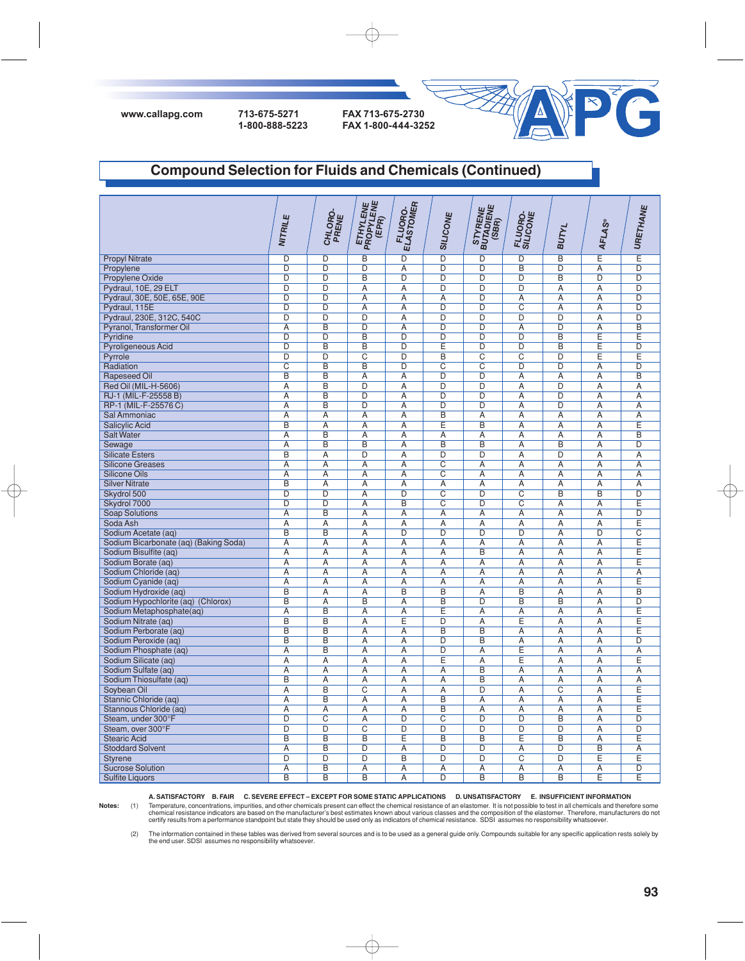**www.callapg.com 713-675-5271 FAX 713-675-2730**

**1-800-888-5223 FAX 1-800-444-3252**



### **Compound Selection for Fluids and Chemicals (Continued)**

|                                       | NITRILE                 | CHLORO-<br>PRENE        | <b>ETHYLENE</b><br>PROPYLENE<br>(EPR) | FLUORO.<br>ELASTOMER | <b>SILICONE</b> | STYRENE<br>BUTADIENE<br>(SBR) | FLUORO-<br>SILICONE | <b>BUTYL</b>   | <b>AFLAS®</b>  | URETHANE       |
|---------------------------------------|-------------------------|-------------------------|---------------------------------------|----------------------|-----------------|-------------------------------|---------------------|----------------|----------------|----------------|
| <b>Propyl Nitrate</b>                 | D                       | D                       | $\overline{B}$                        | $\overline{D}$       | $\overline{D}$  | D                             | $\overline{D}$      | $\overline{B}$ | Έ              | Έ              |
| Propylene                             | D                       | $\overline{D}$          | D                                     | A                    | $\overline{D}$  | $\overline{D}$                | B                   | $\overline{D}$ | A              | $\overline{D}$ |
| Propylene Oxide                       | D                       | $\overline{D}$          | B                                     | D                    | $\overline{D}$  | $\overline{D}$                | D                   | $\overline{B}$ | D              | $\overline{D}$ |
| Pydraul, 10E, 29 ELT                  | $\overline{D}$          | $\overline{D}$          | A                                     | $\overline{A}$       | $\overline{D}$  | $\overline{D}$                | $\overline{D}$      | $\overline{A}$ | A              | $\overline{D}$ |
| Pydraul, 30E, 50E, 65E, 90E           | $\overline{D}$          | $\overline{D}$          | $\overline{A}$                        | $\overline{A}$       | $\overline{A}$  | $\overline{D}$                | $\overline{A}$      | $\overline{A}$ | $\overline{A}$ | $\overline{D}$ |
| Pydraul, 115E                         | $\overline{D}$          | $\overline{D}$          | A                                     | Α                    | $\overline{D}$  | $\overline{D}$                | $\overline{C}$      | A              | A              | $\overline{D}$ |
| Pydraul, 230E, 312C, 540C             | $\overline{D}$          | $\overline{D}$          | D                                     | $\overline{A}$       | $\overline{D}$  | $\overline{D}$                | $\overline{D}$      | $\overline{D}$ | $\overline{A}$ | $\overline{D}$ |
| Pyranol, Transformer Oil              | $\overline{A}$          | $\overline{B}$          | $\overline{D}$                        | $\overline{A}$       | $\overline{D}$  | $\overline{D}$                | $\overline{A}$      | D              | $\overline{A}$ | $\overline{B}$ |
| Pyridine                              | $\overline{\mathsf{D}}$ | $\overline{\mathsf{D}}$ | $\overline{B}$                        | $\overline{D}$       | $\overline{D}$  | $\overline{D}$                | $\overline{D}$      | $\overline{B}$ | Έ              | E              |
| Pyroligeneous Acid                    | $\overline{D}$          | $\overline{B}$          | $\overline{B}$                        | $\overline{D}$       | Έ               | D                             | $\overline{D}$      | $\overline{B}$ | E              | $\overline{D}$ |
| Pyrrole                               | $\overline{D}$          | D                       | $\overline{\rm c}$                    | $\overline{D}$       | $\overline{B}$  | $\overline{C}$                | $\overline{c}$      | D              | Ε              | E              |
| Radiation                             | $\overline{C}$          | $\overline{B}$          | $\overline{B}$                        | $\overline{D}$       | $\overline{C}$  | $\overline{C}$                | $\overline{D}$      | $\overline{D}$ | $\overline{A}$ | $\overline{D}$ |
| <b>Rapeseed Oil</b>                   | B                       | B                       | $\overline{A}$                        | $\overline{A}$       | $\overline{D}$  | $\overline{D}$                | $\overline{A}$      | $\overline{A}$ | $\overline{A}$ | B              |
| Red Oil (MIL-H-5606)                  | A                       | B                       | D                                     | $\overline{A}$       | D               | $\overline{D}$                | $\overline{A}$      | $\overline{D}$ | $\overline{A}$ | A              |
| RJ-1 (MIL-F-25558 B)                  | $\overline{A}$          | B                       | $\overline{D}$                        | $\overline{A}$       | $\overline{D}$  | $\overline{D}$                | $\overline{A}$      | $\overline{D}$ | $\overline{A}$ | $\overline{A}$ |
|                                       | $\overline{A}$          | $\overline{B}$          | D                                     | $\overline{A}$       | D               | D                             | $\overline{A}$      | $\overline{D}$ | $\overline{A}$ | $\overline{A}$ |
| RP-1 (MIL-F-25576 C)                  |                         |                         |                                       |                      | $\overline{B}$  |                               |                     |                |                |                |
| Sal Ammoniac                          | Α                       | Ā                       | Α                                     | Ā                    |                 | Α                             | $\overline{A}$      | Ā              | Α              | Α              |
| <b>Salicylic Acid</b>                 | $\overline{\mathsf{B}}$ | $\overline{\mathsf{A}}$ | Ā                                     | Ā                    | E               | $\overline{B}$                | $\overline{A}$      | Ā              | $\overline{A}$ | E              |
| <b>Salt Water</b>                     | Α                       | B                       | A                                     | Α                    | Α               | Α                             | Α                   | Α              | A              | B              |
| Sewage                                | Α                       | B                       | B                                     | $\overline{A}$       | B               | B                             | Α                   | B              | Α              | D              |
| <b>Silicate Esters</b>                | $\overline{B}$          | Ā                       | $\overline{D}$                        | Ā                    | $\overline{D}$  | D                             | $\overline{A}$      | D              | $\overline{A}$ | Ā              |
| <b>Silicone Greases</b>               | Ā                       | Ā                       | Α                                     | Ā                    | $\overline{C}$  | Ā                             | $\overline{A}$      | $\overline{A}$ | Α              | $\overline{A}$ |
| <b>Silicone Oils</b>                  | Α                       | Α                       | Α                                     | Α                    | C               | Α                             | Α                   | Α              | Α              | Α              |
| <b>Silver Nitrate</b>                 | $\overline{B}$          | $\overline{A}$          | $\overline{A}$                        | $\overline{A}$       | $\overline{A}$  | $\overline{A}$                | $\overline{A}$      | $\overline{A}$ | $\overline{A}$ | $\overline{A}$ |
| Skydrol 500                           | D                       | $\overline{D}$          | A                                     | $\overline{D}$       | $\overline{C}$  | $\overline{D}$                | $\overline{C}$      | $\overline{B}$ | $\overline{B}$ | $\overline{D}$ |
| Skydrol 7000                          | D                       | $\overline{D}$          | $\overline{A}$                        | $\overline{B}$       | $\overline{C}$  | D                             | $\overline{C}$      | $\overline{A}$ | A              | E              |
| Soap Solutions                        | A                       | $\overline{B}$          | A                                     | $\overline{A}$       | $\overline{A}$  | $\overline{A}$                | A                   | $\overline{A}$ | $\overline{A}$ | $\overline{D}$ |
| Soda Ash                              | $\overline{A}$          | $\overline{A}$          | $\overline{A}$                        | $\overline{A}$       | $\overline{A}$  | $\overline{A}$                | $\overline{A}$      | $\overline{A}$ | $\overline{A}$ | Ē              |
| Sodium Acetate (aq)                   | $\overline{B}$          | $\overline{B}$          | A                                     | $\overline{D}$       | $\overline{D}$  | $\overline{D}$                | $\overline{D}$      | $\overline{A}$ | $\overline{D}$ | $\overline{C}$ |
| Sodium Bicarbonate (aq) (Baking Soda) | $\overline{A}$          | $\overline{A}$          | $\overline{A}$                        | $\overline{A}$       | $\overline{A}$  | $\overline{A}$                | $\overline{A}$      | $\overline{A}$ | $\overline{A}$ | Ē              |
| Sodium Bisulfite (aq)                 | $\overline{A}$          | $\overline{A}$          | A                                     | $\overline{A}$       | $\overline{A}$  | $\overline{B}$                | $\overline{A}$      | $\overline{A}$ | A              | Ē              |
| Sodium Borate (aq)                    | Α                       | A                       | Α                                     | Α                    | Α               | Α                             | Α                   | Α              | Α              | E              |
| Sodium Chloride (ag)                  | $\overline{A}$          | $\overline{A}$          | $\overline{A}$                        | $\overline{A}$       | $\overline{A}$  | $\overline{A}$                | $\overline{A}$      | $\overline{A}$ | $\overline{A}$ | $\overline{A}$ |
| Sodium Cyanide (aq)                   | $\overline{A}$          | Ā                       | Ā                                     | $\overline{A}$       | $\overline{A}$  | $\overline{A}$                | $\overline{A}$      | $\overline{A}$ | Α              | Ε              |
| Sodium Hydroxide (aq)                 | $\overline{B}$          | $\overline{A}$          | $\overline{A}$                        | $\overline{B}$       | $\overline{B}$  | $\overline{A}$                | $\overline{B}$      | $\overline{A}$ | $\overline{A}$ | $\overline{B}$ |
| Sodium Hypochlorite (aq) (Chlorox)    | B                       | $\overline{A}$          | $\overline{B}$                        | $\overline{A}$       | $\overline{B}$  | $\overline{D}$                | B                   | B              | $\overline{A}$ | $\overline{D}$ |
| Sodium Metaphosphate(aq)              | $\overline{A}$          | B                       | A                                     | $\overline{A}$       | E               | A                             | $\overline{A}$      | $\overline{A}$ | $\overline{A}$ | E              |
| Sodium Nitrate (aq)                   | B                       | B                       | Ā                                     | Έ                    | $\overline{D}$  | Ā                             | Ε                   | $\overline{A}$ | $\overline{A}$ | Ε              |
| Sodium Perborate (ag)                 | B                       | $\overline{B}$          | $\overline{A}$                        | $\overline{A}$       | B               | B                             | $\overline{A}$      | $\overline{A}$ | $\overline{A}$ | Ē              |
| Sodium Peroxide (aq)                  | B                       | B                       | Α                                     | Α                    | $\overline{D}$  | B                             | Α                   | Α              | Α              | $\overline{D}$ |
| Sodium Phosphate (aq)                 | $\overline{A}$          | $\overline{B}$          | $\overline{A}$                        | $\overline{A}$       | $\overline{D}$  | Ā                             | Ε                   | $\overline{A}$ | $\overline{A}$ | Ā              |
| Sodium Silicate (aq)                  | Ā                       | Ā                       | Α                                     | Ā                    | E               | Α                             | Ε                   | $\overline{A}$ | Α              | E              |
| Sodium Sulfate (aq)                   | Α                       | Ā                       | Α                                     | Ā                    | Α               | B                             | $\overline{A}$      | Ā              | Α              | $\overline{A}$ |
| Sodium Thiosulfate (aq)               | B                       | Ā                       | А                                     | А                    | $\overline{A}$  | $\overline{B}$                | $\overline{A}$      | А              | Α              | Ā              |
| Soybean Oil                           | $\overline{A}$          | $\overline{B}$          | $\overline{C}$                        | $\overline{A}$       | $\overline{A}$  | D                             | $\overline{A}$      | $\overline{C}$ | $\overline{A}$ | Ε              |
| Stannic Chloride (aq)                 | A                       | B                       | A                                     | Α                    | B               | Α                             | Α                   | Α              | A              | E              |
| Stannous Chloride (aq)                | $\overline{A}$          | $\overline{A}$          | $\overline{A}$                        | $\overline{A}$       | $\overline{B}$  | $\overline{A}$                | $\overline{A}$      | $\overline{A}$ | $\overline{A}$ | Ē              |
| Steam, under 300°F                    | $\overline{D}$          | $\overline{\mathrm{c}}$ | A                                     | $\overline{D}$       | $\overline{C}$  | $\overline{D}$                | $\overline{D}$      | B              | A              | $\overline{D}$ |
| Steam, over 300°F                     | $\overline{D}$          | $\overline{D}$          | $\overline{C}$                        | $\overline{D}$       | $\overline{D}$  | D                             | D                   | D              | $\overline{A}$ | $\overline{D}$ |
| <b>Stearic Acid</b>                   | $\overline{B}$          | $\overline{B}$          | $\overline{B}$                        | $\overline{E}$       | $\overline{B}$  | $\overline{B}$                | Έ                   | $\overline{B}$ | $\overline{A}$ | Ē              |
| <b>Stoddard Solvent</b>               | A                       | $\overline{\mathsf{B}}$ | $\overline{D}$                        | $\overline{A}$       | $\overline{D}$  | $\overline{D}$                | $\overline{A}$      | $\overline{D}$ | $\overline{B}$ | $\overline{A}$ |
| <b>Styrene</b>                        | $\overline{D}$          | $\overline{D}$          | $\overline{D}$                        | $\overline{B}$       | $\overline{D}$  | D                             | $\overline{C}$      | D              | Ε              | $\overline{E}$ |
| <b>Sucrose Solution</b>               | A                       | $\overline{\mathsf{B}}$ | A                                     | $\overline{A}$       | $\overline{A}$  | $\overline{A}$                | $\overline{A}$      | $\overline{A}$ | A              | $\overline{D}$ |
| <b>Sulfite Liquors</b>                | $\overline{B}$          | $\overline{B}$          | $\overline{B}$                        | $\overline{A}$       | $\overline{D}$  | $\overline{B}$                | $\overline{B}$      | $\overline{B}$ | Ē              | Ē              |

**A. SATISFACTORY B. FAIR C. SEVERE EFFECT – EXCEPT FOR SOME STATIC APPLICATIONS D. UNSATISFACTORY E. INSUFFICIENT INFORMATION**

 $\oplus$ 

Notes: (1) Temperature, concentrations, impurities, and other chemicals present can effect the chemical resistance of an elastomer. It is not possible to test in all chemicals and therefore some<br>chemical resistance indicat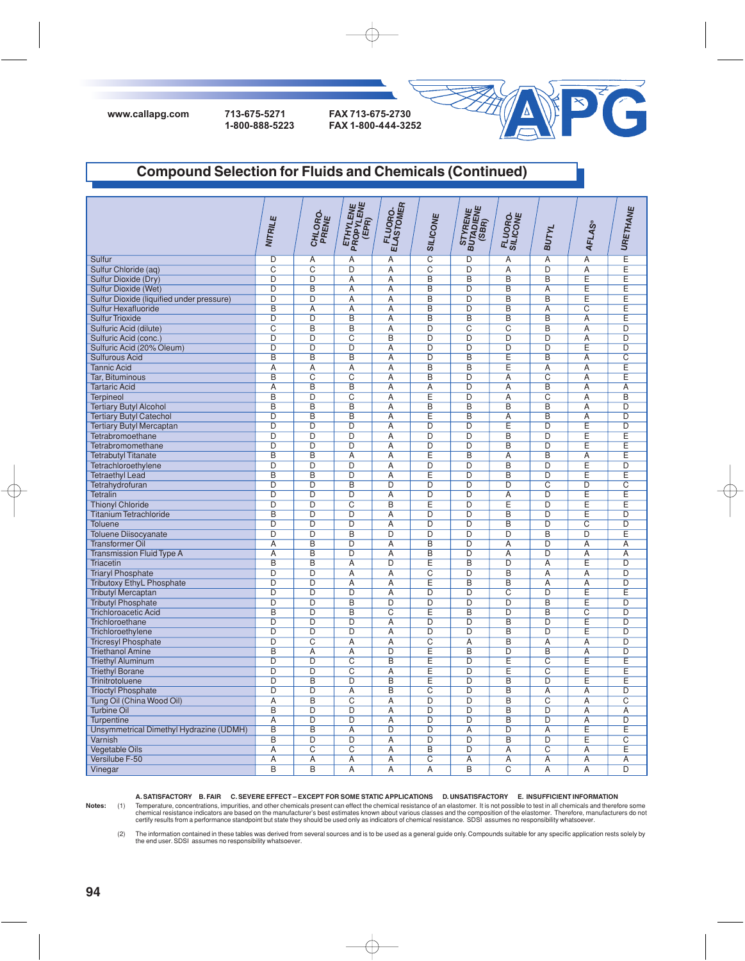



# **Compound Selection for Fluids and Chemicals (Continued)**

|                                           | NITRILE        | CHLORO-<br>PRENE        | ETHYLENE<br>PROPYLENE<br>(EPR) | <b>FLUORO.</b><br>ELASTOMER | <b>SILICONE</b>         | STYRENE<br>BUTADIENE<br>(SBR) | FLUORO.<br>SILICONE     | <b>BUTYL</b>            | <b>AFLAS®</b>           | URETHANE                |
|-------------------------------------------|----------------|-------------------------|--------------------------------|-----------------------------|-------------------------|-------------------------------|-------------------------|-------------------------|-------------------------|-------------------------|
|                                           |                |                         |                                |                             |                         |                               |                         |                         |                         |                         |
| Sulfur                                    | D              | Α                       | Α                              | Α                           | $\overline{C}$          | D                             | Α                       | $\overline{A}$          | $\overline{A}$          | E                       |
| Sulfur Chloride (aq)                      | $\overline{C}$ | $\overline{C}$          | $\overline{D}$                 | $\overline{A}$              | $\overline{C}$          | $\overline{D}$                | $\overline{A}$          | $\overline{D}$          | $\overline{A}$          | Ε                       |
| Sulfur Dioxide (Dry)                      | $\overline{D}$ | $\overline{D}$          | $\overline{A}$                 | $\overline{A}$              | $\overline{B}$          | $\overline{B}$                | $\overline{B}$          | $\overline{B}$          | Έ                       | Ē                       |
| Sulfur Dioxide (Wet)                      | $\overline{D}$ | B                       | A                              | A                           | B                       | $\overline{D}$                | B                       | A                       | Έ                       | E                       |
| Sulfur Dioxide (liquified under pressure) | D              | $\overline{D}$          | $\overline{A}$                 | $\overline{A}$              | $\overline{B}$          | $\overline{D}$                | $\overline{B}$          | $\overline{B}$          | Έ                       | Ē                       |
| Sulfur Hexafluoride                       | B              | $\overline{A}$          | $\overline{A}$                 | $\overline{A}$              | B                       | $\overline{D}$                | B                       | $\overline{A}$          | $\overline{C}$          | Έ                       |
| <b>Sulfur Trioxide</b>                    | D              | $\overline{D}$          | B                              | $\overline{A}$              | B                       | B                             | B                       | $\overline{B}$          | $\overline{A}$          | E                       |
| Sulfuric Acid (dilute)                    | $\overline{C}$ | B                       | $\overline{B}$                 | $\overline{A}$              | D                       | $\overline{\text{c}}$         | $\overline{C}$          | B                       | $\overline{A}$          | D                       |
| Sulfuric Acid (conc.)                     | $\overline{D}$ | $\overline{D}$          | $\overline{C}$                 | $\overline{B}$              | $\overline{D}$          | $\overline{D}$                | $\overline{D}$          | $\overline{D}$          | $\overline{A}$          | $\overline{D}$          |
| Sulfuric Acid (20% Oleum)                 | $\overline{D}$ | $\overline{D}$          | D                              | A                           | $\overline{D}$          | $\overline{D}$                | $\overline{D}$          | $\overline{D}$          | Έ                       | $\overline{D}$          |
| Sulfurous Acid                            | $\overline{B}$ | $\overline{B}$          | $\overline{B}$                 | $\overline{A}$              | $\overline{D}$          | $\overline{B}$                | Έ                       | $\overline{B}$          | $\overline{A}$          | $\overline{C}$          |
| <b>Tannic Acid</b>                        | $\overline{A}$ | $\overline{A}$          | A                              | $\overline{A}$              | $\overline{\mathsf{B}}$ | $\overline{\mathsf{B}}$       | Έ                       | $\overline{A}$          | $\overline{A}$          | Έ                       |
| Tar, Bituminous                           | $\overline{B}$ | $\overline{C}$          | $\overline{C}$                 | $\overline{A}$              | $\overline{B}$          | $\overline{D}$                | $\overline{A}$          | $\overline{C}$          | $\overline{A}$          | Ē                       |
| <b>Tartaric Acid</b>                      | A              | $\overline{\mathsf{B}}$ | $\overline{B}$                 | A                           | A                       | $\overline{D}$                | A                       | $\overline{B}$          | A                       | A                       |
| Terpineol                                 | $\overline{B}$ | $\overline{D}$          | $\overline{C}$                 | $\overline{A}$              | Έ                       | $\overline{D}$                | $\overline{A}$          | $\overline{c}$          | $\overline{A}$          | $\overline{B}$          |
| <b>Tertiary Butyl Alcohol</b>             | B              | $\overline{\mathsf{B}}$ | $\overline{B}$                 | $\overline{A}$              | $\overline{B}$          | $\overline{\mathsf{B}}$       | $\overline{B}$          | $\overline{B}$          | $\overline{A}$          | $\overline{D}$          |
| <b>Tertiary Butyl Catechol</b>            | D              | $\overline{B}$          | B                              | Α                           | Ε                       | B                             | Α                       | B                       | Α                       | $\overline{D}$          |
| <b>Tertiary Butyl Mercaptan</b>           | D              | D                       | D                              | Α                           | D                       | D                             | Ε                       | D                       | Ε                       | $\overline{D}$          |
| Tetrabromoethane                          | $\overline{D}$ | $\overline{D}$          | $\overline{D}$                 | $\overline{A}$              | $\overline{D}$          | $\overline{D}$                | $\overline{B}$          | $\overline{D}$          | Έ                       | Ē                       |
| Tetrabromomethane                         | $\overline{D}$ | $\overline{D}$          | $\overline{D}$                 | $\overline{A}$              | $\overline{D}$          | $\overline{D}$                | B                       | $\overline{D}$          | Ε                       | Ε                       |
| <b>Tetrabutyl Titanate</b>                | B              | $\overline{B}$          | $\overline{A}$                 | $\overline{A}$              | Ε                       | B                             | $\overline{A}$          | B                       | $\overline{A}$          | Ε                       |
| Tetrachloroethylene                       | $\overline{D}$ | D                       | $\overline{D}$                 | $\overline{A}$              | $\overline{D}$          | $\overline{D}$                | B                       | $\overline{D}$          | Ε                       | $\overline{D}$          |
| <b>Tetraethyl Lead</b>                    | $\overline{B}$ | $\overline{B}$          | $\overline{D}$                 | $\overline{A}$              | Ē                       | $\overline{D}$                | B                       | $\overline{D}$          | Ε                       | Ē                       |
| Tetrahydrofuran                           | $\overline{D}$ | D                       | $\overline{B}$                 | $\overline{D}$              | $\overline{D}$          | D                             | D                       | $\overline{C}$          | $\overline{D}$          | $\overline{\mathrm{C}}$ |
| <b>Tetralin</b>                           | $\overline{D}$ | $\overline{D}$          | $\overline{D}$                 | $\overline{A}$              | $\overline{D}$          | $\overline{D}$                | $\overline{A}$          | $\overline{D}$          | Έ                       | Ε                       |
| <b>Thionyl Chloride</b>                   | $\overline{D}$ | $\overline{D}$          | $\overline{C}$                 | $\overline{B}$              | Έ                       | $\overline{D}$                | Έ                       | $\overline{D}$          | Έ                       | Ē                       |
| <b>Titanium Tetrachloride</b>             | B              | $\overline{\mathsf{D}}$ | D                              | A                           | $\overline{\mathsf{D}}$ | D                             | $\overline{\mathsf{B}}$ | $\overline{\mathsf{D}}$ | Έ                       | $\overline{\mathsf{D}}$ |
| <b>Toluene</b>                            | D              | $\overline{D}$          | $\overline{D}$                 | $\overline{A}$              | $\overline{D}$          | $\overline{D}$                | $\overline{B}$          | $\overline{D}$          | $\overline{C}$          | $\overline{D}$          |
| <b>Toluene Diisocyanate</b>               | $\overline{D}$ | D                       | $\overline{B}$                 | $\overline{D}$              | $\overline{D}$          | $\overline{D}$                | D                       | $\overline{B}$          | $\overline{D}$          | Ε                       |
| <b>Transformer Oil</b>                    | $\overline{A}$ | $\overline{B}$          | D                              | $\overline{A}$              | $\overline{B}$          | $\overline{D}$                | $\overline{A}$          | $\overline{D}$          | $\overline{A}$          | $\overline{A}$          |
| <b>Transmission Fluid Type A</b>          | $\overline{A}$ | B                       | $\overline{D}$                 | $\overline{A}$              | B                       | $\overline{D}$                | $\overline{A}$          | $\overline{D}$          | $\overline{A}$          | $\overline{A}$          |
| <b>Triacetin</b>                          | $\overline{B}$ | $\overline{B}$          | $\overline{A}$                 | $\overline{D}$              | E                       | $\overline{B}$                | $\overline{D}$          | $\overline{A}$          | Έ                       | $\overline{D}$          |
| <b>Triaryl Phosphate</b>                  | $\overline{D}$ | $\overline{\mathsf{D}}$ | A                              | $\overline{A}$              | $\overline{\text{c}}$   | $\overline{D}$                | $\overline{B}$          | $\overline{A}$          | $\overline{A}$          | $\overline{D}$          |
| <b>Tributoxy EthyL Phosphate</b>          | D              | $\overline{D}$          | $\overline{A}$                 | $\overline{A}$              | Ē                       | $\overline{B}$                | $\overline{B}$          | $\overline{A}$          | $\overline{A}$          | D                       |
| <b>Tributyl Mercaptan</b>                 | $\overline{D}$ | D                       | $\overline{D}$                 | $\overline{A}$              | $\overline{D}$          | $\overline{D}$                | $\overline{\mathrm{c}}$ | $\overline{D}$          | Έ                       | Ē                       |
| <b>Tributyl Phosphate</b>                 | $\overline{D}$ | $\overline{D}$          | $\overline{B}$                 | $\overline{D}$              | $\overline{D}$          | $\overline{D}$                | $\overline{D}$          | $\overline{B}$          | Έ                       | $\overline{D}$          |
| <b>Trichloroacetic Acid</b>               | $\overline{B}$ | $\overline{D}$          | $\overline{B}$                 | $\overline{C}$              | Ē                       | $\overline{B}$                | $\overline{D}$          | $\overline{B}$          | $\overline{\mathrm{c}}$ | $\overline{D}$          |
| Trichloroethane                           | D              | $\overline{D}$          | D                              | Α                           | D                       | D                             | $\overline{B}$          | $\overline{D}$          | E                       | $\overline{D}$          |
| Trichloroethylene                         | $\overline{D}$ | $\overline{D}$          | $\overline{D}$                 | Α                           | $\overline{D}$          | $\overline{D}$                | B                       | $\overline{D}$          | Ε                       | $\overline{D}$          |
| <b>Tricresyl Phosphate</b>                | $\overline{D}$ | $\overline{C}$          | $\overline{A}$                 | $\overline{A}$              | $\overline{C}$          | $\overline{A}$                | $\overline{B}$          | $\overline{A}$          | $\overline{A}$          | $\overline{D}$          |
| <b>Triethanol Amine</b>                   | B              | Α                       | Α                              | $\overline{D}$              | Ε                       | B                             | D                       | $\overline{B}$          | Α                       | D                       |
| <b>Triethyl Aluminum</b>                  | D              | $\overline{D}$          | $\overline{C}$                 | $\overline{B}$              | Ε                       | $\overline{D}$                | Ε                       | $\overline{C}$          | Έ                       | Ē                       |
| <b>Triethyl Borane</b>                    | $\overline{D}$ | D                       | $\overline{C}$                 | $\overline{A}$              | Έ                       | D                             | Ε                       | $\overline{\mathsf{C}}$ | Ε                       | E                       |
| Trinitrotoluene                           | D              | $\overline{B}$          | D                              | B                           | Ε                       | D                             | B                       | D                       | Ε                       | Ē                       |
| <b>Trioctyl Phosphate</b>                 | $\overline{D}$ | D                       | Α                              | B                           | $\overline{C}$          | D                             | B                       | $\overline{A}$          | Α                       | $\overline{D}$          |
| Tung Oil (China Wood Oil)                 | $\overline{A}$ | $\overline{B}$          | $\overline{C}$                 | $\overline{A}$              | $\overline{D}$          | $\overline{D}$                | B                       | $\overline{C}$          | $\overline{A}$          | $\overline{\text{c}}$   |
| <b>Turbine Oil</b>                        | $\overline{B}$ | $\overline{D}$          | $\overline{D}$                 | $\overline{A}$              | $\overline{D}$          | $\overline{D}$                | $\overline{B}$          | $\overline{D}$          | $\overline{A}$          | $\overline{A}$          |
| Turpentine                                | A              | $\overline{D}$          | $\overline{D}$                 | A                           | D                       | $\overline{D}$                | B                       | $\overline{D}$          | A                       | $\overline{D}$          |
| Unsymmetrical Dimethyl Hydrazine (UDMH)   | B              | $\overline{B}$          | $\overline{A}$                 | D                           | $\overline{D}$          | $\overline{A}$                | D                       | $\overline{A}$          | Έ                       | Ē                       |
| Varnish                                   | B              | D                       | $\overline{D}$                 | $\overline{A}$              | D                       | $\overline{D}$                | $\overline{\mathsf{B}}$ | $\overline{D}$          | E                       | $\overline{\text{c}}$   |
| <b>Vegetable Oils</b>                     | $\overline{A}$ | $\overline{C}$          | $\overline{C}$                 | $\overline{A}$              | B                       | $\overline{D}$                | $\overline{A}$          | $\overline{C}$          | Α                       | Ε                       |
| Versilube F-50                            | $\overline{A}$ | Ā                       | A                              | Α                           | $\overline{C}$          | Α                             | A                       | Α                       | Α                       | $\overline{A}$          |
| Vinegar                                   | $\overline{B}$ | $\overline{B}$          | $\overline{A}$                 | $\overline{A}$              | $\overline{A}$          | $\overline{B}$                | $\overline{C}$          | $\overline{A}$          | $\overline{A}$          | $\overline{D}$          |

**A. SATISFACTORY B. FAIR C. SEVERE EFFECT – EXCEPT FOR SOME STATIC APPLICATIONS D. UNSATISFACTORY E. INSUFFICIENT INFORMATION**

Notes: (1) Temperature, concentrations, impurities, and other chemicals present can effect the chemical resistance of an elastomer. It is not possible to test in all chemicals and therefore some<br>chemical resistance indicat

(2) The information contained in these tables was derived from several sources and is to be used as a general guide only. Compounds suitable for any specific application rests solely by<br>the end user. SDSI assumes no respon